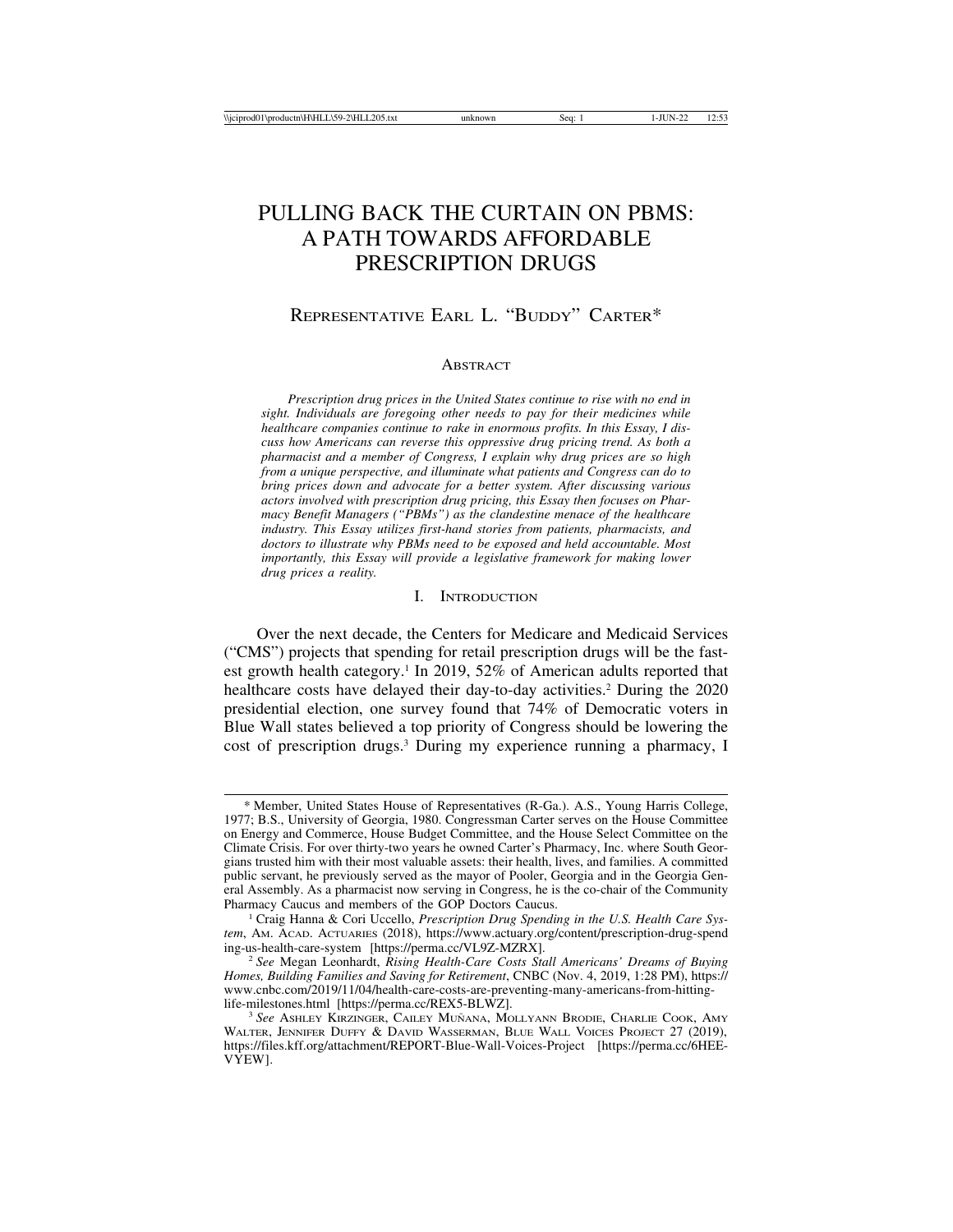# PULLING BACK THE CURTAIN ON PBMS: A PATH TOWARDS AFFORDABLE PRESCRIPTION DRUGS

# REPRESENTATIVE EARL L. "BUDDY" CARTER\*

#### **ABSTRACT**

*Prescription drug prices in the United States continue to rise with no end in sight. Individuals are foregoing other needs to pay for their medicines while healthcare companies continue to rake in enormous profits. In this Essay, I discuss how Americans can reverse this oppressive drug pricing trend. As both a pharmacist and a member of Congress, I explain why drug prices are so high from a unique perspective, and illuminate what patients and Congress can do to bring prices down and advocate for a better system. After discussing various actors involved with prescription drug pricing, this Essay then focuses on Pharmacy Benefit Managers ("PBMs") as the clandestine menace of the healthcare industry. This Essay utilizes first-hand stories from patients, pharmacists, and doctors to illustrate why PBMs need to be exposed and held accountable. Most importantly, this Essay will provide a legislative framework for making lower drug prices a reality.*

## I. INTRODUCTION

Over the next decade, the Centers for Medicare and Medicaid Services ("CMS") projects that spending for retail prescription drugs will be the fastest growth health category.<sup>1</sup> In 2019, 52% of American adults reported that healthcare costs have delayed their day-to-day activities.<sup>2</sup> During the 2020 presidential election, one survey found that 74% of Democratic voters in Blue Wall states believed a top priority of Congress should be lowering the cost of prescription drugs.3 During my experience running a pharmacy, I

<sup>\*</sup> Member, United States House of Representatives (R-Ga.). A.S., Young Harris College, 1977; B.S., University of Georgia, 1980. Congressman Carter serves on the House Committee on Energy and Commerce, House Budget Committee, and the House Select Committee on the Climate Crisis. For over thirty-two years he owned Carter's Pharmacy, Inc. where South Georgians trusted him with their most valuable assets: their health, lives, and families. A committed public servant, he previously served as the mayor of Pooler, Georgia and in the Georgia General Assembly. As a pharmacist now serving in Congress, he is the co-chair of the Community Pharmacy Caucus and members of the GOP Doctors Caucus.

<sup>1</sup> Craig Hanna & Cori Uccello, *Prescription Drug Spending in the U.S. Health Care System*, AM. ACAD. ACTUARIES (2018), https://www.actuary.org/content/prescription-drug-spend<br>ing-us-health-care-system [https://perma.cc/VL9Z-MZRX].

<sup>&</sup>lt;sup>2</sup> See Megan Leonhardt, *Rising Health-Care Costs Stall Americans' Dreams of Buying Homes, Building Families and Saving for Retirement*, CNBC (Nov. 4, 2019, 1:28 PM), https:// www.cnbc.com/2019/11/04/health-care-costs-are-preventing-many-americans-from-hitting-

<sup>&</sup>lt;sup>3</sup> See ASHLEY KIRZINGER, CAILEY MUÑANA, MOLLYANN BRODIE, CHARLIE COOK, AMY WALTER, JENNIFER DUFFY & DAVID WASSERMAN, BLUE WALL VOICES PROJECT 27 (2019), https://files.kff.org/attachment/REPORT-Blue-Wall-Voices-Project [https://perma.cc/6HEE-VYEW].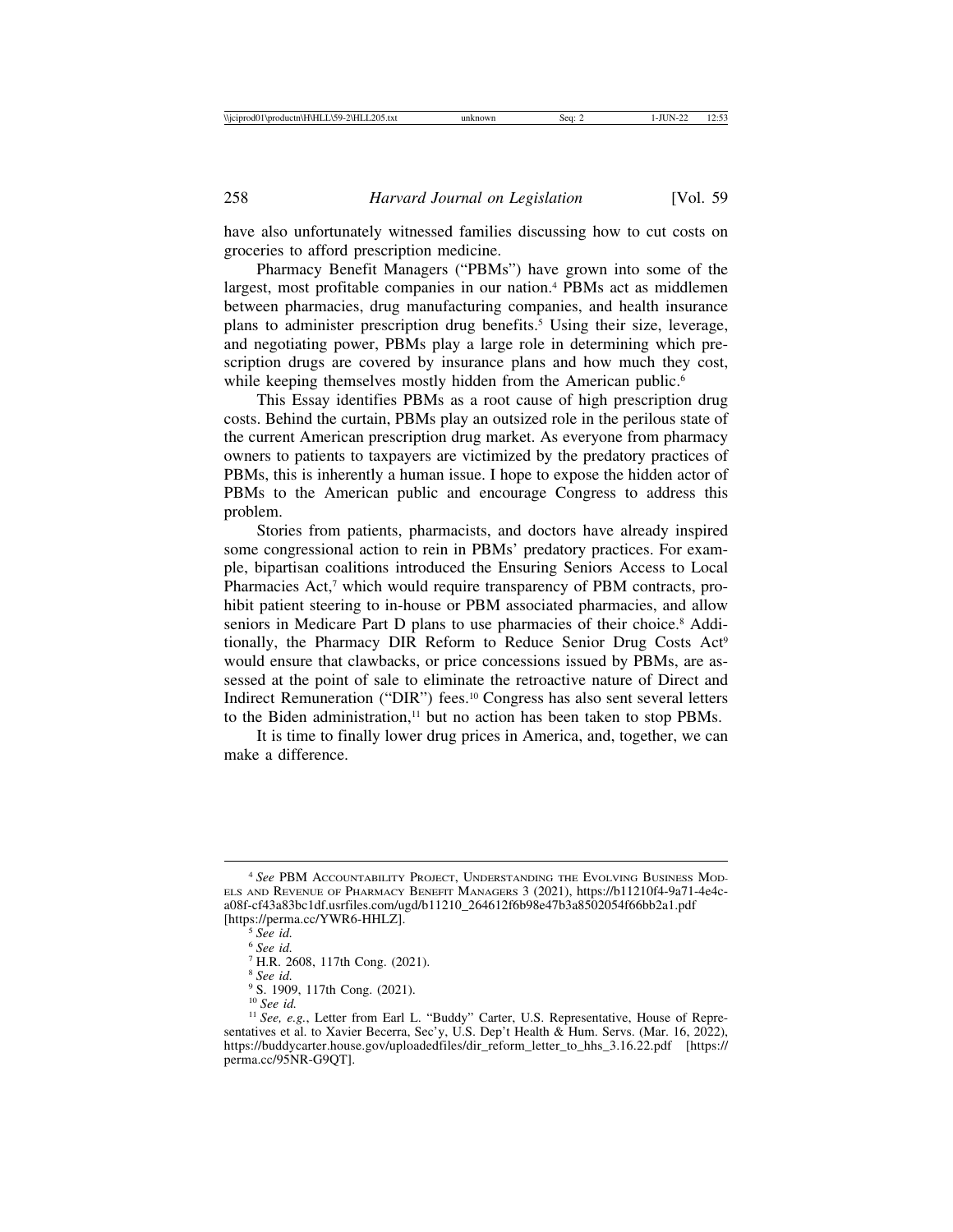have also unfortunately witnessed families discussing how to cut costs on groceries to afford prescription medicine.

Pharmacy Benefit Managers ("PBMs") have grown into some of the largest, most profitable companies in our nation.<sup>4</sup> PBMs act as middlemen between pharmacies, drug manufacturing companies, and health insurance plans to administer prescription drug benefits.5 Using their size, leverage, and negotiating power, PBMs play a large role in determining which prescription drugs are covered by insurance plans and how much they cost, while keeping themselves mostly hidden from the American public.<sup>6</sup>

This Essay identifies PBMs as a root cause of high prescription drug costs. Behind the curtain, PBMs play an outsized role in the perilous state of the current American prescription drug market. As everyone from pharmacy owners to patients to taxpayers are victimized by the predatory practices of PBMs, this is inherently a human issue. I hope to expose the hidden actor of PBMs to the American public and encourage Congress to address this problem.

Stories from patients, pharmacists, and doctors have already inspired some congressional action to rein in PBMs' predatory practices. For example, bipartisan coalitions introduced the Ensuring Seniors Access to Local Pharmacies Act,<sup>7</sup> which would require transparency of PBM contracts, prohibit patient steering to in-house or PBM associated pharmacies, and allow seniors in Medicare Part D plans to use pharmacies of their choice.<sup>8</sup> Additionally, the Pharmacy DIR Reform to Reduce Senior Drug Costs Act<sup>9</sup> would ensure that clawbacks, or price concessions issued by PBMs, are assessed at the point of sale to eliminate the retroactive nature of Direct and Indirect Remuneration ("DIR") fees.10 Congress has also sent several letters to the Biden administration, $11$  but no action has been taken to stop PBMs.

It is time to finally lower drug prices in America, and, together, we can make a difference.

<sup>4</sup> *See* PBM ACCOUNTABILITY PROJECT, UNDERSTANDING THE EVOLVING BUSINESS MOD-ELS AND REVENUE OF PHARMACY BENEFIT MANAGERS 3 (2021), https://b11210f4-9a71-4e4ca08f-cf43a83bc1df.usrfiles.com/ugd/b11210\_264612f6b98e47b3a8502054f66bb2a1.pdf [https://perma.cc/YWR6-HHLZ]. <sup>5</sup> *See id.*

<sup>6</sup> *See id.*

<sup>7</sup> H.R. 2608, 117th Cong. (2021).

<sup>8</sup> *See id.*

<sup>&</sup>lt;sup>9</sup> S. 1909, 117th Cong. (2021).<br><sup>10</sup> See id.

<sup>&</sup>lt;sup>11</sup> *See, e.g.*, Letter from Earl L. "Buddy" Carter, U.S. Representative, House of Representatives et al. to Xavier Becerra, Sec'y, U.S. Dep't Health & Hum. Servs. (Mar. 16, 2022), https://buddycarter.house.gov/uploadedfiles/dir\_reform\_letter\_to\_hhs\_3.16.22.pdf [https:// perma.cc/95NR-G9QT].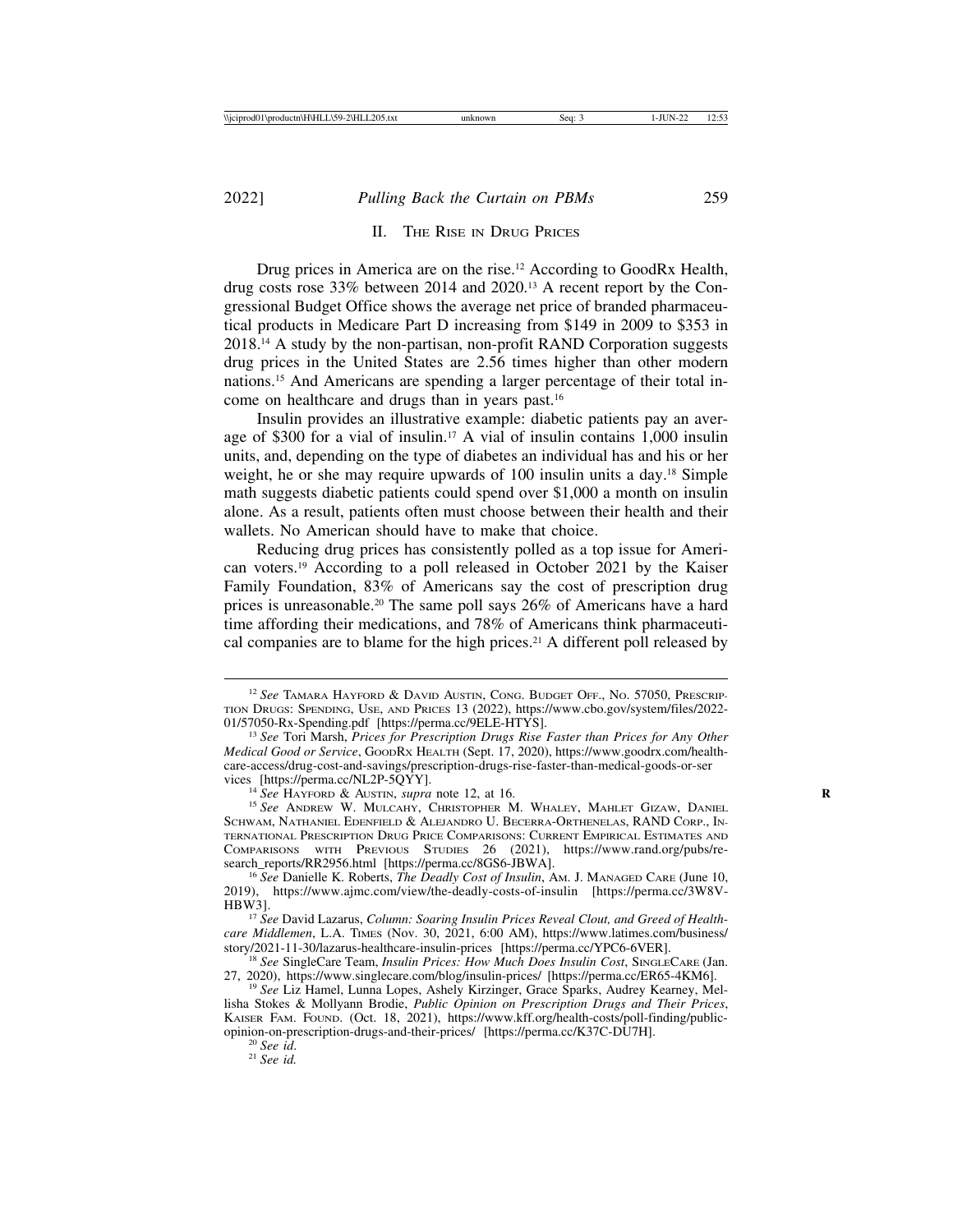## II. THE RISE IN DRUG PRICES

Drug prices in America are on the rise.<sup>12</sup> According to GoodRx Health, drug costs rose 33% between 2014 and 2020.13 A recent report by the Congressional Budget Office shows the average net price of branded pharmaceutical products in Medicare Part D increasing from \$149 in 2009 to \$353 in 2018.14 A study by the non-partisan, non-profit RAND Corporation suggests drug prices in the United States are 2.56 times higher than other modern nations.15 And Americans are spending a larger percentage of their total income on healthcare and drugs than in years past.16

Insulin provides an illustrative example: diabetic patients pay an average of \$300 for a vial of insulin.17 A vial of insulin contains 1,000 insulin units, and, depending on the type of diabetes an individual has and his or her weight, he or she may require upwards of 100 insulin units a day.<sup>18</sup> Simple math suggests diabetic patients could spend over \$1,000 a month on insulin alone. As a result, patients often must choose between their health and their wallets. No American should have to make that choice.

Reducing drug prices has consistently polled as a top issue for American voters.19 According to a poll released in October 2021 by the Kaiser Family Foundation, 83% of Americans say the cost of prescription drug prices is unreasonable.20 The same poll says 26% of Americans have a hard time affording their medications, and 78% of Americans think pharmaceutical companies are to blame for the high prices.21 A different poll released by

<sup>12</sup> *See* TAMARA HAYFORD & DAVID AUSTIN, CONG. BUDGET OFF., NO. 57050, PRESCRIP-TION DRUGS: SPENDING, USE, AND PRICES 13 (2022), https://www.cbo.gov/system/files/2022-

<sup>&</sup>lt;sup>13</sup> See Tori Marsh, Prices for Prescription Drugs Rise Faster than Prices for Any Other *Medical Good or Service*, GOODRX HEALTH (Sept. 17, 2020), https://www.goodrx.com/healthcare-access/drug-cost-and-savings/prescription-drugs-rise-faster-than-medical-goods-or-ser

<sup>&</sup>lt;sup>14</sup> See HAYFORD & AUSTIN, *supra* note 12, at 16. **Whaley, Mahlet Gizaw, Daniel**<br><sup>15</sup> See Andrew W. Mulcahy, Christopher M. Whaley, Mahlet Gizaw, Daniel SCHWAM, NATHANIEL EDENFIELD & ALEJANDRO U. BECERRA-ORTHENELAS, RAND CORP., IN-TERNATIONAL PRESCRIPTION DRUG PRICE COMPARISONS: CURRENT EMPIRICAL ESTIMATES AND COMPARISONS WITH PREVIOUS STUDIES 26 (2021), https://www.rand.org/pubs/research\_reports/RR2956.html [https://perma.cc/8GS6-JBWA].

<sup>&</sup>lt;sup>16</sup> See Danielle K. Roberts, *The Deadly Cost of Insulin*, AM. J. MANAGED CARE (June 10, 2019), https://www.ajmc.com/view/the-deadly-costs-of-insulin [https://perma.cc/3W8V-

<sup>&</sup>lt;sup>17</sup> See David Lazarus, *Column: Soaring Insulin Prices Reveal Clout, and Greed of Healthcare Middlemen*, L.A. TIMES (Nov. 30, 2021, 6:00 AM), https://www.latimes.com/business/<br>story/2021-11-30/lazarus-healthcare-insulin-prices [https://perma.cc/YPC6-6VER].

<sup>&</sup>lt;sup>18</sup> See SingleCare Team, *Insulin Prices: How Much Does Insulin Cost*, SINGLECARE (Jan. 27, 2020), https://www.singlecare.com/blog/insulin-prices/ [https://perma.cc/ER65-4KM6].

<sup>&</sup>lt;sup>19</sup> See Liz Hamel, Lunna Lopes, Ashely Kirzinger, Grace Sparks, Audrey Kearney, Mellisha Stokes & Mollyann Brodie, *Public Opinion on Prescription Drugs and Their Prices*, KAISER FAM. FOUND. (Oct. 18, 2021), https://www.kff.org/health-costs/poll-finding/publicopinion-on-prescription-drugs-and-their-prices/ [https://perma.cc/K37C-DU7H]. <sup>20</sup> *See id*. <sup>21</sup> *See id.*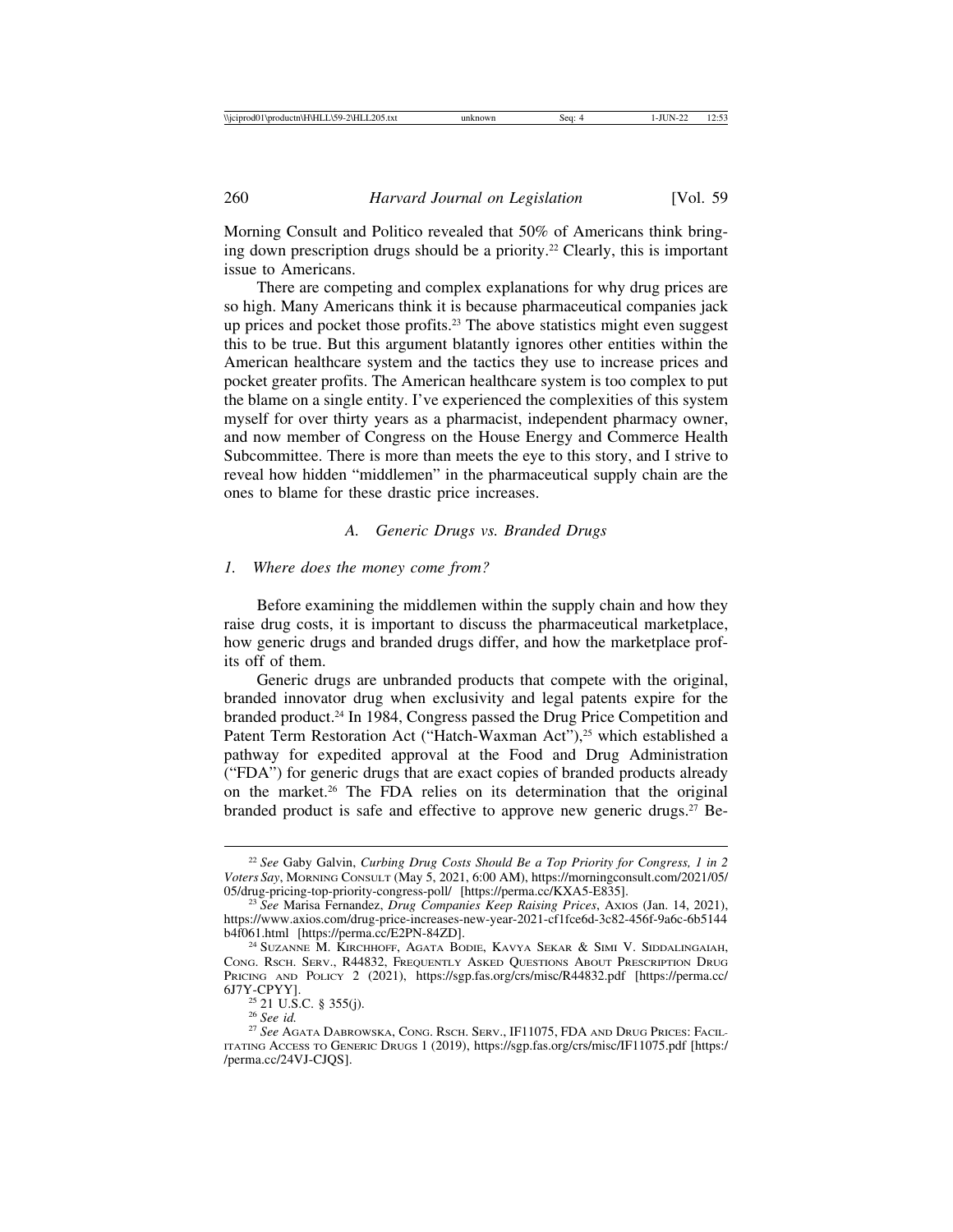Morning Consult and Politico revealed that 50% of Americans think bringing down prescription drugs should be a priority.22 Clearly, this is important issue to Americans.

There are competing and complex explanations for why drug prices are so high. Many Americans think it is because pharmaceutical companies jack up prices and pocket those profits.23 The above statistics might even suggest this to be true. But this argument blatantly ignores other entities within the American healthcare system and the tactics they use to increase prices and pocket greater profits. The American healthcare system is too complex to put the blame on a single entity. I've experienced the complexities of this system myself for over thirty years as a pharmacist, independent pharmacy owner, and now member of Congress on the House Energy and Commerce Health Subcommittee. There is more than meets the eye to this story, and I strive to reveal how hidden "middlemen" in the pharmaceutical supply chain are the ones to blame for these drastic price increases.

## *A. Generic Drugs vs. Branded Drugs*

## *1. Where does the money come from?*

Before examining the middlemen within the supply chain and how they raise drug costs, it is important to discuss the pharmaceutical marketplace, how generic drugs and branded drugs differ, and how the marketplace profits off of them.

Generic drugs are unbranded products that compete with the original, branded innovator drug when exclusivity and legal patents expire for the branded product.24 In 1984, Congress passed the Drug Price Competition and Patent Term Restoration Act ("Hatch-Waxman Act"),<sup>25</sup> which established a pathway for expedited approval at the Food and Drug Administration ("FDA") for generic drugs that are exact copies of branded products already on the market.26 The FDA relies on its determination that the original branded product is safe and effective to approve new generic drugs.<sup>27</sup> Be-

<sup>22</sup> *See* Gaby Galvin, *Curbing Drug Costs Should Be a Top Priority for Congress, 1 in 2 Voters Say*, MORNING CONSULT (May 5, 2021, 6:00 AM), https://morningconsult.com/2021/05/

<sup>&</sup>lt;sup>23</sup> See Marisa Fernandez, *Drug Companies Keep Raising Prices*, Axios (Jan. 14, 2021), https://www.axios.com/drug-price-increases-new-year-2021-cf1fce6d-3c82-456f-9a6c-6b5144

<sup>&</sup>lt;sup>24</sup> Suzanne M. Kirchhoff, Agata Bodie, Kavya Sekar & Simi V. Siddalingaiah, CONG. RSCH. SERV., R44832, FREQUENTLY ASKED QUESTIONS ABOUT PRESCRIPTION DRUG PRICING AND POLICY 2 (2021), https://sgp.fas.org/crs/misc/R44832.pdf [https://perma.cc/6J7Y-CPYY].

<sup>&</sup>lt;sup>25</sup> 21 U.S.C. § 355(j).<br><sup>26</sup> *See id.*<br><sup>27</sup> *See* Agata Dabrowska, Cong. Rsch. Serv., IF11075, FDA and Drug Prices: Facil-ITATING ACCESS TO GENERIC DRUGS 1 (2019), https://sgp.fas.org/crs/misc/IF11075.pdf [https:/ /perma.cc/24VJ-CJQS].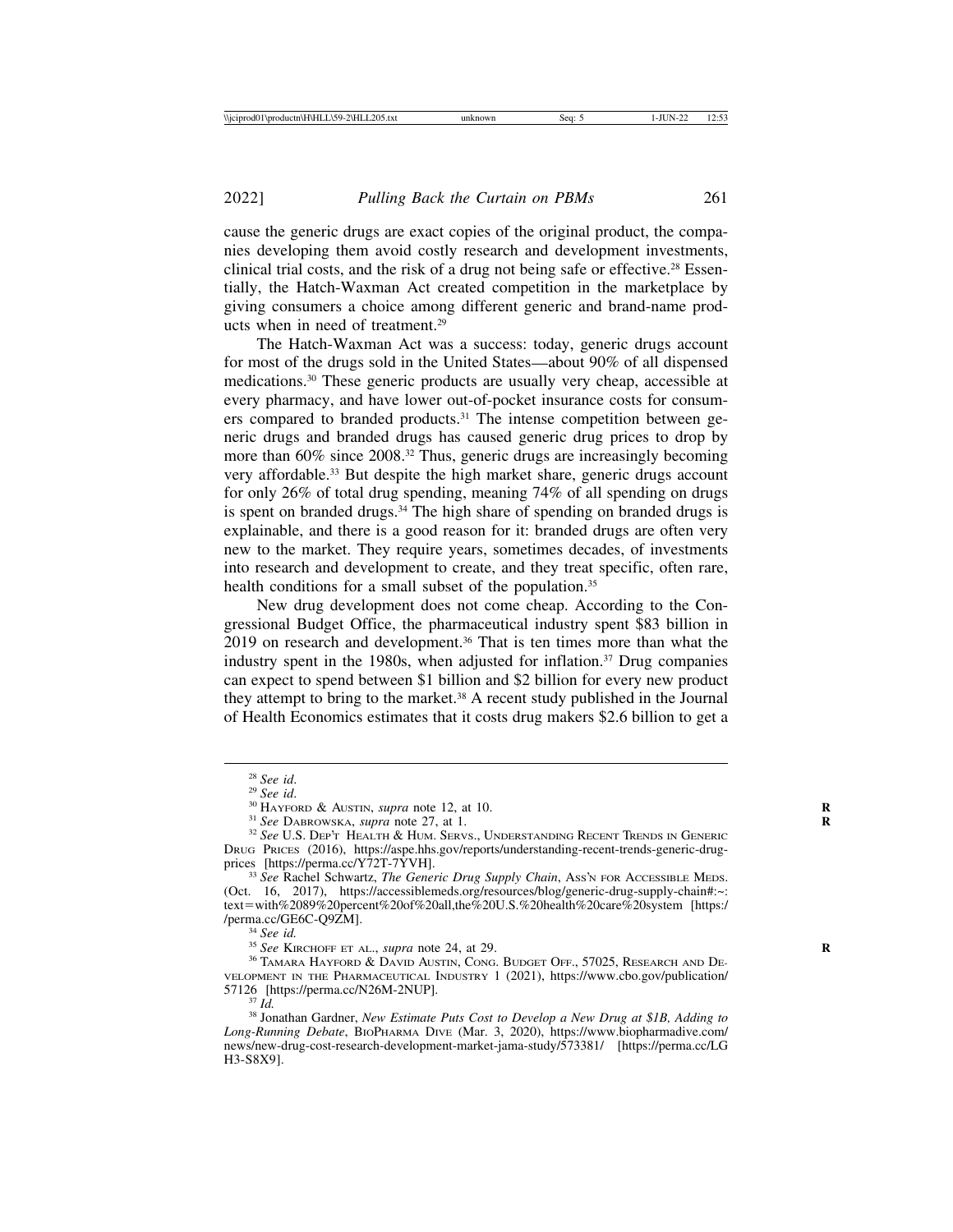cause the generic drugs are exact copies of the original product, the companies developing them avoid costly research and development investments, clinical trial costs, and the risk of a drug not being safe or effective.28 Essentially, the Hatch-Waxman Act created competition in the marketplace by giving consumers a choice among different generic and brand-name products when in need of treatment.29

The Hatch-Waxman Act was a success: today, generic drugs account for most of the drugs sold in the United States—about 90% of all dispensed medications.30 These generic products are usually very cheap, accessible at every pharmacy, and have lower out-of-pocket insurance costs for consumers compared to branded products.31 The intense competition between generic drugs and branded drugs has caused generic drug prices to drop by more than 60% since 2008.32 Thus, generic drugs are increasingly becoming very affordable.33 But despite the high market share, generic drugs account for only 26% of total drug spending, meaning 74% of all spending on drugs is spent on branded drugs.<sup>34</sup> The high share of spending on branded drugs is explainable, and there is a good reason for it: branded drugs are often very new to the market. They require years, sometimes decades, of investments into research and development to create, and they treat specific, often rare, health conditions for a small subset of the population.<sup>35</sup>

New drug development does not come cheap. According to the Congressional Budget Office, the pharmaceutical industry spent \$83 billion in 2019 on research and development.36 That is ten times more than what the industry spent in the 1980s, when adjusted for inflation.<sup>37</sup> Drug companies can expect to spend between \$1 billion and \$2 billion for every new product they attempt to bring to the market.38 A recent study published in the Journal of Health Economics estimates that it costs drug makers \$2.6 billion to get a

<sup>&</sup>lt;sup>28</sup> See id.<br><sup>29</sup> See id.<br><sup>30</sup> HAYFORD & AUSTIN, *supra* note 12, at 10.<br><sup>31</sup> See DABROWSKA, *supra* note 27, at 1.<br><sup>32</sup> See U.S. Dep't Health & HUM. Servs., UNDERSTANDING RECENT TRENDS IN GENERIC DRUG PRICES (2016), https://aspe.hhs.gov/reports/understanding-recent-trends-generic-drug-<br>prices [https://perma.cc/Y72T-7YVH].

<sup>&</sup>lt;sup>33</sup> See Rachel Schwartz, *The Generic Drug Supply Chain*, Ass'n FOR ACCESSIBLE MEDS. (Oct. 16, 2017), https://accessiblemeds.org/resources/blog/generic-drug-supply-chain#:~: text=with%2089%20percent%20of%20all,the%20U.S.%20health%20care%20system [https:/

<sup>&</sup>lt;sup>34</sup> See id.<br><sup>35</sup> See Kirchoff et al., *supra* note 24, at 29. **R** 36 TAMARA HAYFORD & DAVID AUSTIN, CONG. BUDGET OFF., 57025, RESEARCH AND DE-VELOPMENT IN THE PHARMACEUTICAL INDUSTRY 1 (2021), https://www.cbo.gov/publication/

<sup>&</sup>lt;sup>37</sup> *Id.* <sup>37</sup> *Id.* 38 Jonathan Gardner, *New Estimate Puts Cost to Develop a New Drug at \$1B, Adding to Long-Running Debate*, BIOPHARMA DIVE (Mar. 3, 2020), https://www.biopharmadive.com/ news/new-drug-cost-research-development-market-jama-study/573381/ [https://perma.cc/LG H3-S8X9].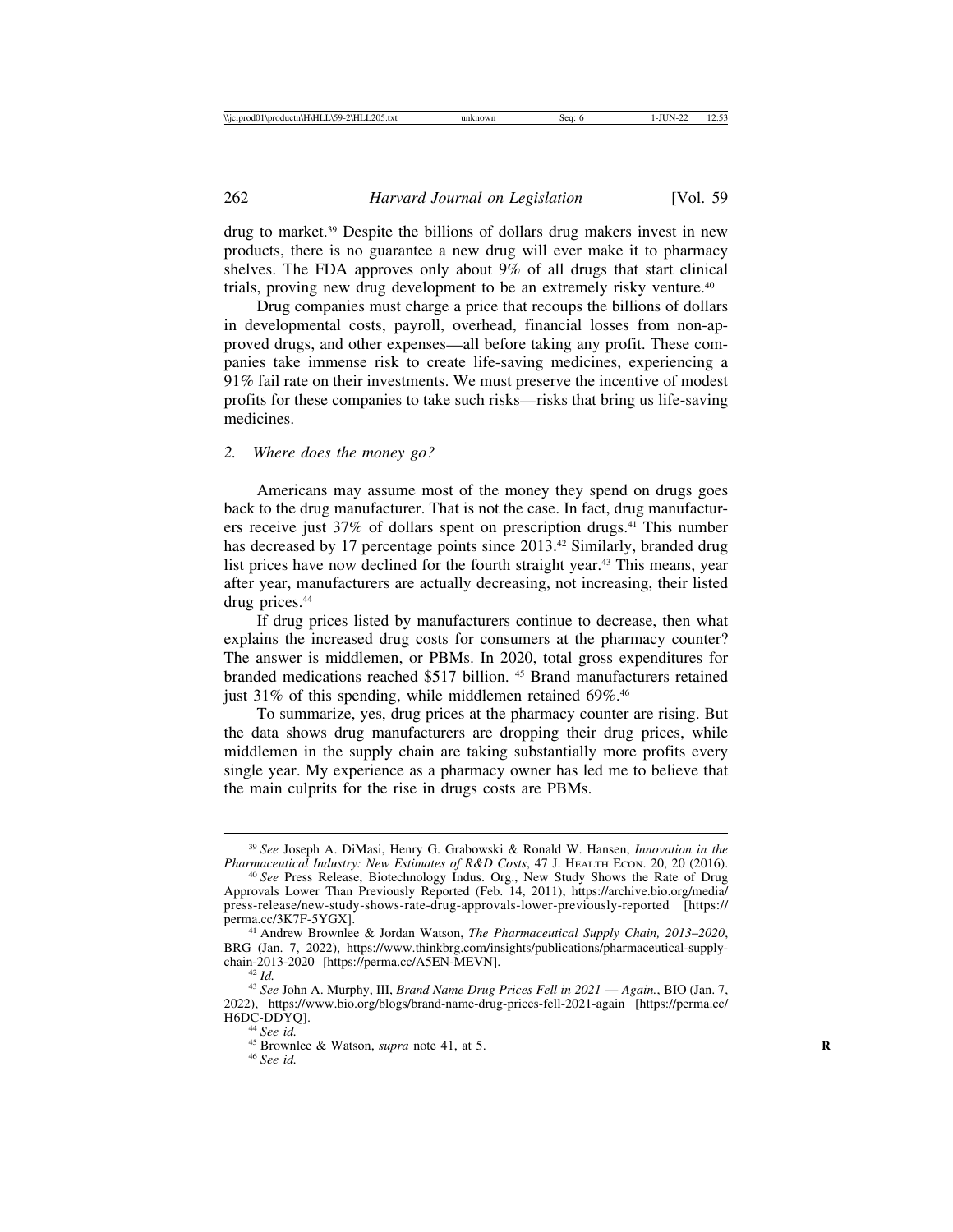drug to market.39 Despite the billions of dollars drug makers invest in new products, there is no guarantee a new drug will ever make it to pharmacy shelves. The FDA approves only about 9% of all drugs that start clinical trials, proving new drug development to be an extremely risky venture.40

Drug companies must charge a price that recoups the billions of dollars in developmental costs, payroll, overhead, financial losses from non-approved drugs, and other expenses—all before taking any profit. These companies take immense risk to create life-saving medicines, experiencing a 91% fail rate on their investments. We must preserve the incentive of modest profits for these companies to take such risks—risks that bring us life-saving medicines.

#### *2. Where does the money go?*

Americans may assume most of the money they spend on drugs goes back to the drug manufacturer. That is not the case. In fact, drug manufacturers receive just 37% of dollars spent on prescription drugs.41 This number has decreased by 17 percentage points since 2013.<sup>42</sup> Similarly, branded drug list prices have now declined for the fourth straight year.<sup>43</sup> This means, year after year, manufacturers are actually decreasing, not increasing, their listed drug prices.<sup>44</sup>

If drug prices listed by manufacturers continue to decrease, then what explains the increased drug costs for consumers at the pharmacy counter? The answer is middlemen, or PBMs. In 2020, total gross expenditures for branded medications reached \$517 billion. 45 Brand manufacturers retained just 31% of this spending, while middlemen retained 69%.<sup>46</sup>

To summarize, yes, drug prices at the pharmacy counter are rising. But the data shows drug manufacturers are dropping their drug prices, while middlemen in the supply chain are taking substantially more profits every single year. My experience as a pharmacy owner has led me to believe that the main culprits for the rise in drugs costs are PBMs.

<sup>&</sup>lt;sup>39</sup> *See Joseph A. DiMasi, Henry G. Grabowski & Ronald W. Hansen, <i>Innovation in the Pharmaceutical Industry: New Estimates of R&D Costs, 47 J. HEALTH ECON. 20, 20 (2016). Pharmaceutical Industry: New Estimates of R&D Costs*, 47 J. HEALTH ECON. 20, 20 (2016). <sup>40</sup> *See* Press Release, Biotechnology Indus. Org., New Study Shows the Rate of Drug

Approvals Lower Than Previously Reported (Feb. 14, 2011), https://archive.bio.org/media/ press-release/new-study-shows-rate-drug-approvals-lower-previously-reported [https://<br>perma.cc/3K7F-5YGX].

<sup>&</sup>lt;sup>41</sup> Andrew Brownlee & Jordan Watson, *The Pharmaceutical Supply Chain, 2013–2020*, BRG (Jan. 7, 2022), https://www.thinkbrg.com/insights/publications/pharmaceutical-supply-<br>chain-2013-2020 [https://perma.cc/A5EN-MEVN].

<sup>&</sup>lt;sup>42</sup> Id.<br><sup>43</sup> See John A. Murphy, III, *Brand Name Drug Prices Fell in 2021* — *Again.*, BIO (Jan. 7, 2022), https://www.bio.org/blogs/brand-name-drug-prices-fell-2021-again [https://perma.cc/ H6DC-DDYQ].<br><sup>44</sup> *See id.*<br><sup>45</sup> Brownlee & Watson, *supra* note 41, at 5.<br><sup>46</sup> *See id.*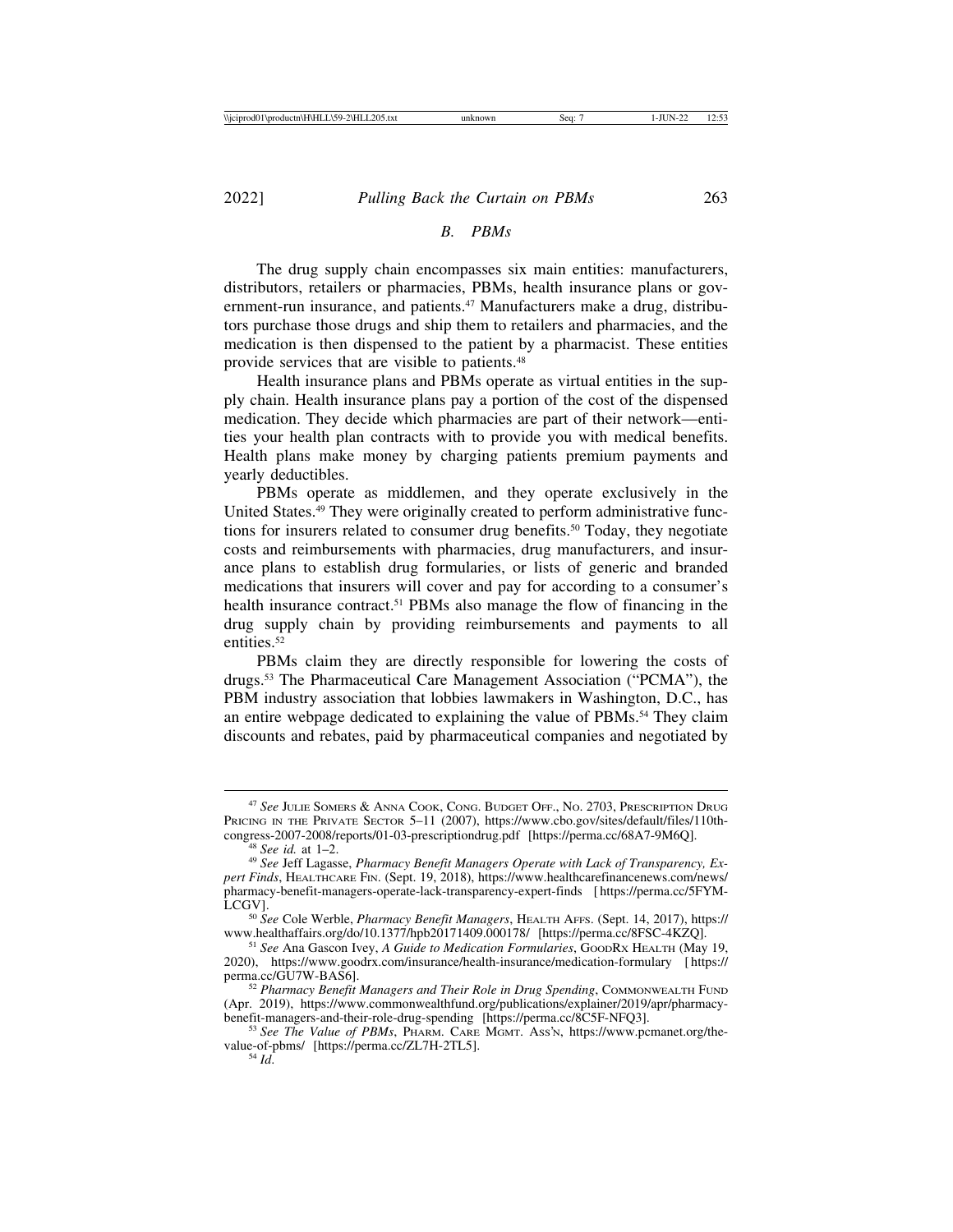## *B. PBMs*

The drug supply chain encompasses six main entities: manufacturers, distributors, retailers or pharmacies, PBMs, health insurance plans or government-run insurance, and patients.<sup>47</sup> Manufacturers make a drug, distributors purchase those drugs and ship them to retailers and pharmacies, and the medication is then dispensed to the patient by a pharmacist. These entities provide services that are visible to patients.48

Health insurance plans and PBMs operate as virtual entities in the supply chain. Health insurance plans pay a portion of the cost of the dispensed medication. They decide which pharmacies are part of their network—entities your health plan contracts with to provide you with medical benefits. Health plans make money by charging patients premium payments and yearly deductibles.

PBMs operate as middlemen, and they operate exclusively in the United States.49 They were originally created to perform administrative functions for insurers related to consumer drug benefits.50 Today, they negotiate costs and reimbursements with pharmacies, drug manufacturers, and insurance plans to establish drug formularies, or lists of generic and branded medications that insurers will cover and pay for according to a consumer's health insurance contract.<sup>51</sup> PBMs also manage the flow of financing in the drug supply chain by providing reimbursements and payments to all entities<sup>52</sup>

PBMs claim they are directly responsible for lowering the costs of drugs.53 The Pharmaceutical Care Management Association ("PCMA"), the PBM industry association that lobbies lawmakers in Washington, D.C., has an entire webpage dedicated to explaining the value of PBMs.54 They claim discounts and rebates, paid by pharmaceutical companies and negotiated by

<sup>47</sup> *See* JULIE SOMERS & ANNA COOK, CONG. BUDGET OFF., NO. 2703, PRESCRIPTION DRUG PRICING IN THE PRIVATE SECTOR 5–11 (2007), https://www.cbo.gov/sites/default/files/110th-congress-2007-2008/reports/01-03-prescriptiondrug.pdf [https://perma.cc/68A7-9M6Q].

<sup>&</sup>lt;sup>48</sup> See id. at 1–2.<br><sup>49</sup> See Jeff Lagasse, *Pharmacy Benefit Managers Operate with Lack of Transparency, Expert Finds*, HEALTHCARE FIN. (Sept. 19, 2018), https://www.healthcarefinancenews.com/news/ pharmacy-benefit-managers-operate-lack-transparency-expert-finds [ https://perma.cc/5FYM-

LCGV]. <sup>50</sup> *See* Cole Werble, *Pharmacy Benefit Managers*, HEALTH AFFS. (Sept. 14, 2017), https://

<sup>&</sup>lt;sup>51</sup> See Ana Gascon Ivey, *A Guide to Medication Formularies*, GOODRX HEALTH (May 19, 2020), https://www.goodrx.com/insurance/health-insurance/medication-formulary [ https://

<sup>&</sup>lt;sup>52</sup> Pharmacy Benefit Managers and Their Role in Drug Spending, COMMONWEALTH FUND (Apr. 2019), https://www.commonwealthfund.org/publications/explainer/2019/apr/pharmacy-

<sup>&</sup>lt;sup>53</sup> See The Value of PBMs, PHARM. CARE MGMT. Ass'N, https://www.pcmanet.org/thevalue-of-pbms/ [https://perma.cc/ZL7H-2TL5]. <sup>54</sup> *Id*.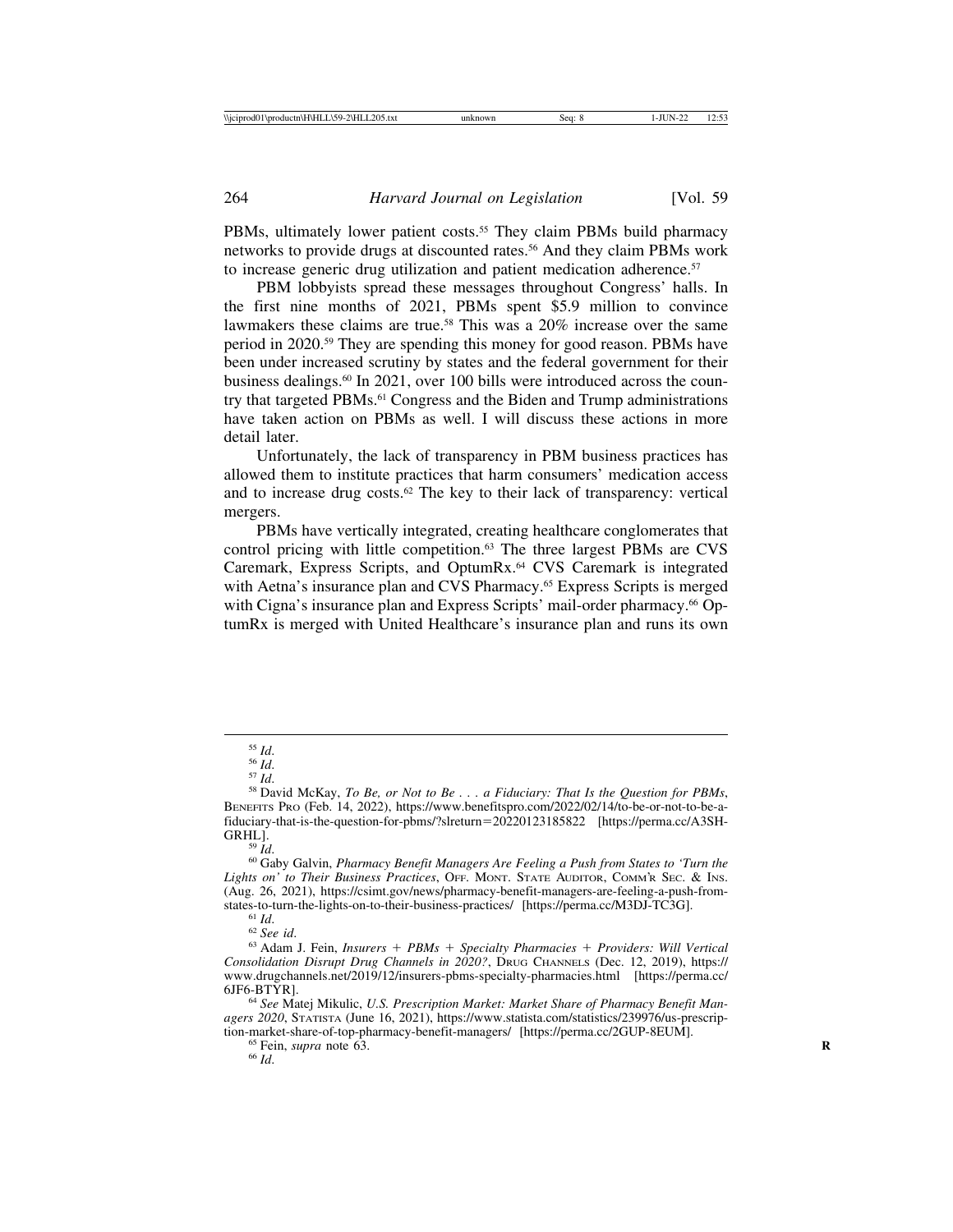PBMs, ultimately lower patient costs.<sup>55</sup> They claim PBMs build pharmacy networks to provide drugs at discounted rates.56 And they claim PBMs work to increase generic drug utilization and patient medication adherence.<sup>57</sup>

PBM lobbyists spread these messages throughout Congress' halls. In the first nine months of 2021, PBMs spent \$5.9 million to convince lawmakers these claims are true.<sup>58</sup> This was a  $20\%$  increase over the same period in 2020.59 They are spending this money for good reason. PBMs have been under increased scrutiny by states and the federal government for their business dealings.60 In 2021, over 100 bills were introduced across the country that targeted PBMs.<sup>61</sup> Congress and the Biden and Trump administrations have taken action on PBMs as well. I will discuss these actions in more detail later.

Unfortunately, the lack of transparency in PBM business practices has allowed them to institute practices that harm consumers' medication access and to increase drug costs.<sup>62</sup> The key to their lack of transparency: vertical mergers.

PBMs have vertically integrated, creating healthcare conglomerates that control pricing with little competition.63 The three largest PBMs are CVS Caremark, Express Scripts, and OptumRx.64 CVS Caremark is integrated with Aetna's insurance plan and CVS Pharmacy.<sup>65</sup> Express Scripts is merged with Cigna's insurance plan and Express Scripts' mail-order pharmacy.<sup>66</sup> OptumRx is merged with United Healthcare's insurance plan and runs its own

<sup>&</sup>lt;sup>55</sup> *Id.*<br><sup>56</sup> *Id.*<br><sup>57</sup> *Id.* 58 David McKay, *To Be, or Not to Be... a Fiduciary: That Is the Question for PBMs,* BENEFITS PRO (Feb. 14, 2022), https://www.benefitspro.com/2022/02/14/to-be-or-not-to-be-afiduciary-that-is-the-question-for-pbms/?slreturn=20220123185822 [https://perma.cc/A3SH-GRHL].<br><sup>59</sup> *Id.* 60 Gaby Galvin, *Pharmacy Benefit Managers Are Feeling a Push from States to 'Turn the* 

*Lights on' to Their Business Practices*, OFF. MONT. STATE AUDITOR, COMM'R SEC. & INS. (Aug. 26, 2021), https://csimt.gov/news/pharmacy-benefit-managers-are-feeling-a-push-from-

<sup>&</sup>lt;sup>61</sup> Id.<br><sup>62</sup> See id. 62 *See id.* 62 *See id.* 62 *Id. Insurers + PBMs + Specialty Pharmacies + Providers: Will Vertical Consolidation Disrupt Drug Channels in 2020?*, DRUG CHANNELS (Dec. 12, 2019), https:// www.drugchannels.net/2019/12/insurers-pbms-specialty-pharmacies.html [https://perma.cc/<br>6JF6-BTYR1.

<sup>&</sup>lt;sup>64</sup> See Matej Mikulic, *U.S. Prescription Market: Market Share of Pharmacy Benefit Managers 2020*, STATISTA (June 16, 2021), https://www.statista.com/statistics/239976/us-prescription-market-share-of-top-pharmacy-benefit-managers/ [https://perma.cc/2GUP-8EUM].<br><sup>65</sup> Fein, *supra* note 63.<br><sup>66</sup> *Id*.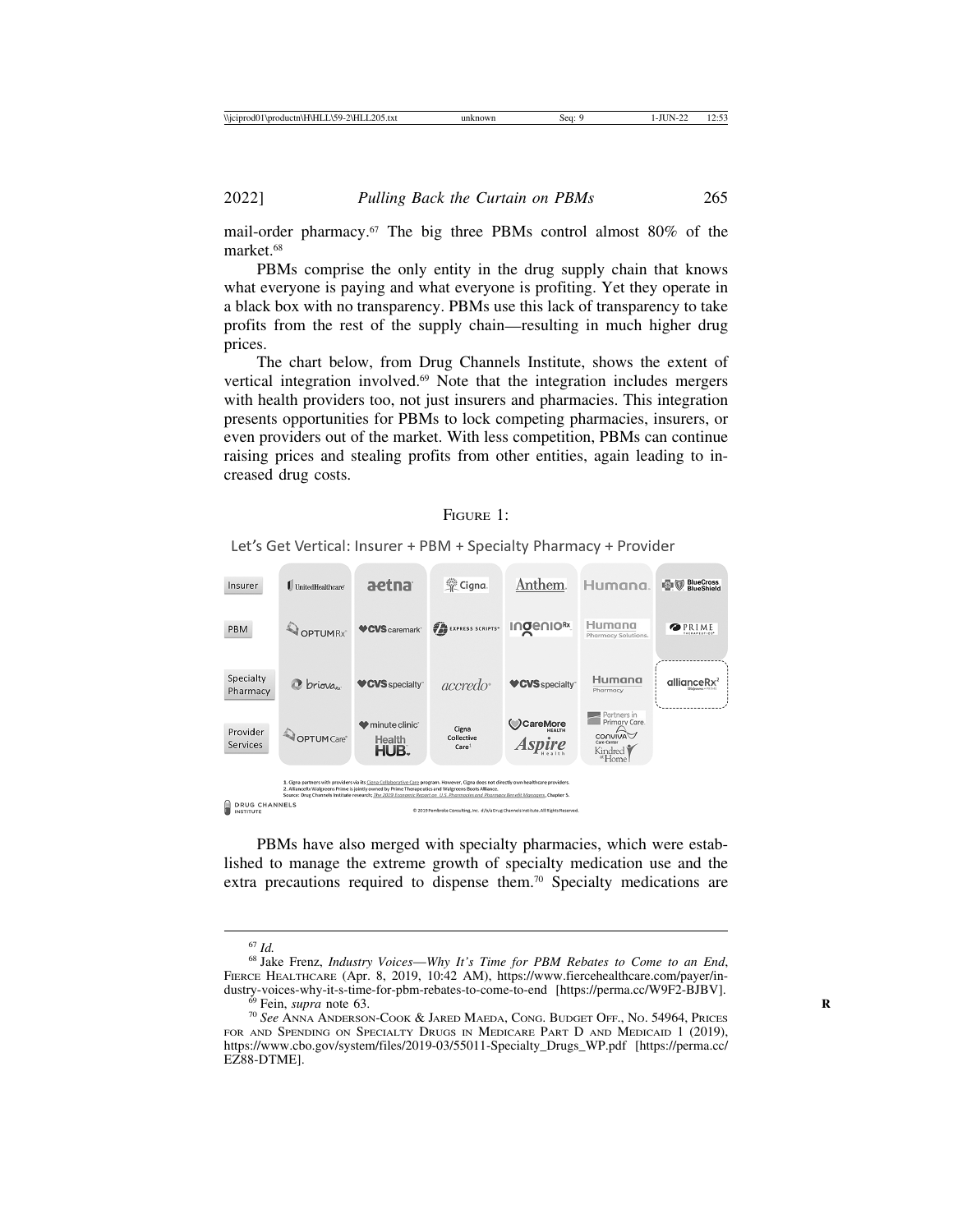mail-order pharmacy.67 The big three PBMs control almost 80% of the market<sup>68</sup>

PBMs comprise the only entity in the drug supply chain that knows what everyone is paying and what everyone is profiting. Yet they operate in a black box with no transparency. PBMs use this lack of transparency to take profits from the rest of the supply chain—resulting in much higher drug prices.

The chart below, from Drug Channels Institute, shows the extent of vertical integration involved.69 Note that the integration includes mergers with health providers too, not just insurers and pharmacies. This integration presents opportunities for PBMs to lock competing pharmacies, insurers, or even providers out of the market. With less competition, PBMs can continue raising prices and stealing profits from other entities, again leading to increased drug costs.

#### FIGURE 1:

Let's Get Vertical: Insurer + PBM + Specialty Pharmacy + Provider



PBMs have also merged with specialty pharmacies, which were established to manage the extreme growth of specialty medication use and the extra precautions required to dispense them.<sup>70</sup> Specialty medications are

<sup>67</sup> *Id.* <sup>68</sup> Jake Frenz, *Industry Voices*—*Why It's Time for PBM Rebates to Come to an End*, FIERCE HEALTHCARE (Apr. 8, 2019, 10:42 AM), https://www.fiercehealthcare.com/payer/in-<br>dustry-voices-why-it-s-time-for-pbm-rebates-to-come-to-end [https://perma.cc/W9F2-BJBV].

<sup>&</sup>lt;sup>69</sup> Fein, *supra* note 63. *R* 80 **Reduster-Politics** See Anna Anderson-Cook & Jared Maeda, Cong. Budget Off., *No.* 54964, Prices FOR AND SPENDING ON SPECIALTY DRUGS IN MEDICARE PART D AND MEDICAID 1 (2019), https://www.cbo.gov/system/files/2019-03/55011-Specialty\_Drugs\_WP.pdf [https://perma.cc/ EZ88-DTME].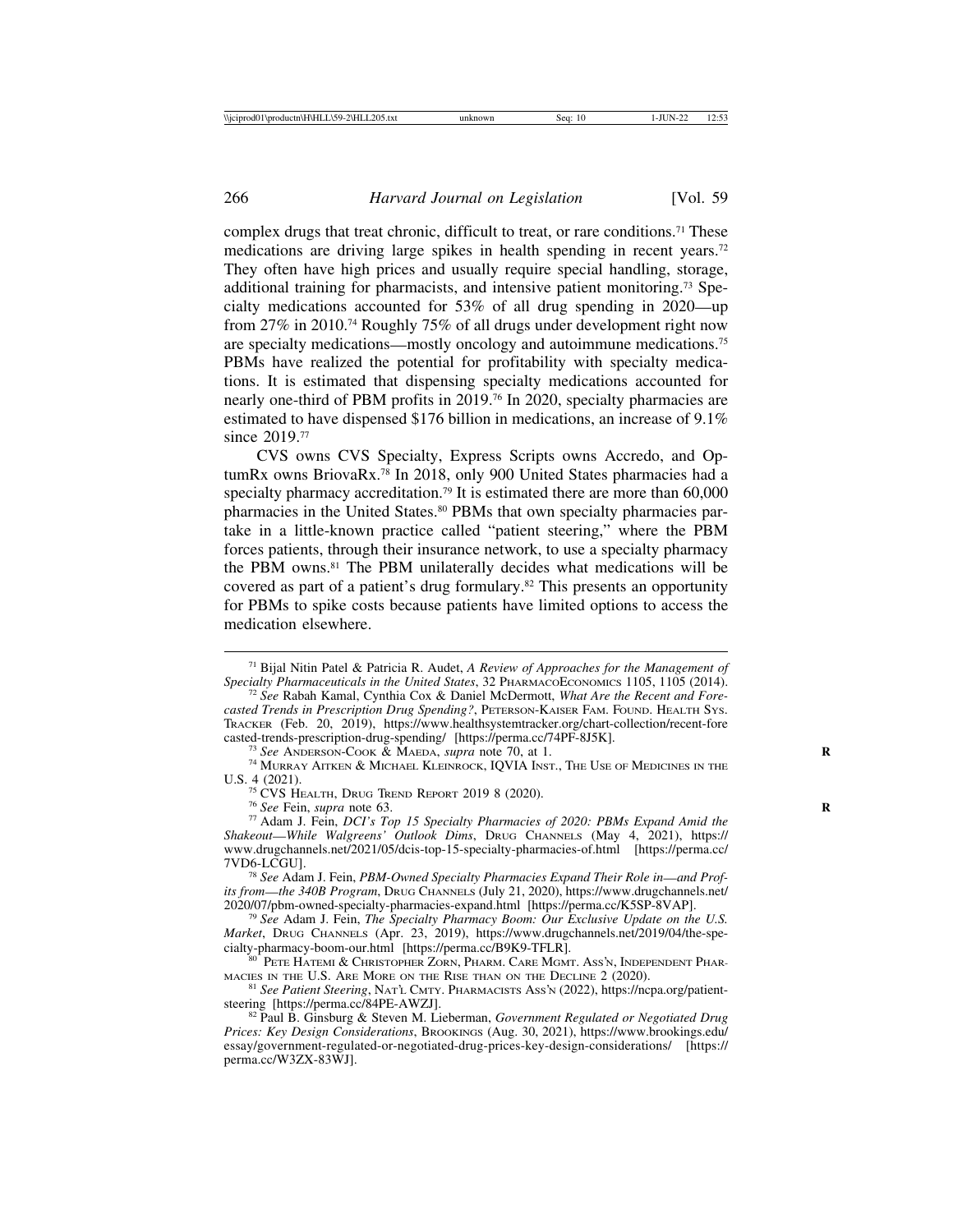complex drugs that treat chronic, difficult to treat, or rare conditions.<sup>71</sup> These medications are driving large spikes in health spending in recent years.<sup>72</sup> They often have high prices and usually require special handling, storage, additional training for pharmacists, and intensive patient monitoring.73 Specialty medications accounted for 53% of all drug spending in 2020—up from 27% in 2010.74 Roughly 75% of all drugs under development right now are specialty medications—mostly oncology and autoimmune medications.75 PBMs have realized the potential for profitability with specialty medications. It is estimated that dispensing specialty medications accounted for nearly one-third of PBM profits in 2019.76 In 2020, specialty pharmacies are estimated to have dispensed \$176 billion in medications, an increase of 9.1% since 2019.<sup>77</sup>

CVS owns CVS Specialty, Express Scripts owns Accredo, and OptumRx owns BriovaRx.78 In 2018, only 900 United States pharmacies had a specialty pharmacy accreditation.<sup>79</sup> It is estimated there are more than  $60,000$ pharmacies in the United States.<sup>80</sup> PBMs that own specialty pharmacies partake in a little-known practice called "patient steering," where the PBM forces patients, through their insurance network, to use a specialty pharmacy the PBM owns.81 The PBM unilaterally decides what medications will be covered as part of a patient's drug formulary.82 This presents an opportunity for PBMs to spike costs because patients have limited options to access the medication elsewhere.

<sup>73</sup> See ANDERSON-COOK & MAEDA, *supra* note 70, at 1.<br><sup>74</sup> MURRAY AITKEN & MICHAEL KLEINROCK, IQVIA INST., THE USE OF MEDICINES IN THE U.S. 4 (2021).<br><sup>75</sup> CVS Health, Drug Trend Report 2019 8 (2020).

<sup>71</sup> Bijal Nitin Patel & Patricia R. Audet, *A Review of Approaches for the Management of Specialty Pharmaceuticals in the United States*, 32 PHARMACOECONOMICS 1105, 1105 (2014). <sup>72</sup> *See* Rabah Kamal, Cynthia Cox & Daniel McDermott, *What Are the Recent and Fore-*

*casted Trends in Prescription Drug Spending?*, PETERSON-KAISER FAM. FOUND. HEALTH SYS. TRACKER (Feb. 20, 2019), https://www.healthsystemtracker.org/chart-collection/recent-fore casted-trends-prescription-drug-spending/ [https://perma.cc/74PF-8J5K].

<sup>&</sup>lt;sup>76</sup> See Fein, supra note 63.<br><sup>77</sup> Adam J. Fein, *DCI's Top 15 Specialty Pharmacies of 2020: PBMs Expand Amid the Shakeout*—*While Walgreens' Outlook Dims*, DRUG CHANNELS (May 4, 2021), https:// www.drugchannels.net/2021/05/dcis-top-15-specialty-pharmacies-of.html [https://perma.cc/ 7VD6-LCGU]. <sup>78</sup> *See* Adam J. Fein, *PBM-Owned Specialty Pharmacies Expand Their Role in*—*and Prof-*

*its from—the 340B Program*, DRUG CHANNELS (July 21, 2020), https://www.drugchannels.net/<br>2020/07/pbm-owned-specialty-pharmacies-expand.html [https://perma.cc/K5SP-8VAP].

<sup>&</sup>lt;sup>79</sup> See Adam J. Fein, *The Specialty Pharmacy Boom: Our Exclusive Update on the U.S. Market*, DRUG CHANNELS (Apr. 23, 2019), https://www.drugchannels.net/2019/04/the-spe-<br>cialty-pharmacy-boom-our.html [https://perma.cc/B9K9-TFLR].

 $^{80}$  Pete Hatemi & Christopher Zorn, Pharm. Care Mgmt. Ass'n, Independent Pharm. Caces in the U.S. Are More on the Rise than on the Decline 2 (2020).

<sup>&</sup>lt;sup>81</sup> See Patient Steering, NAT'L CMTY. PHARMACISTS ASS'N (2022), https://ncpa.org/patient-steering [https://perma.cc/84PE-AWZJ].

<sup>&</sup>lt;sup>82</sup> Paul B. Ginsburg & Steven M. Lieberman, *Government Regulated or Negotiated Drug Prices: Key Design Considerations*, BROOKINGS (Aug. 30, 2021), https://www.brookings.edu/ essay/government-regulated-or-negotiated-drug-prices-key-design-considerations/ [https:// perma.cc/W3ZX-83WJ].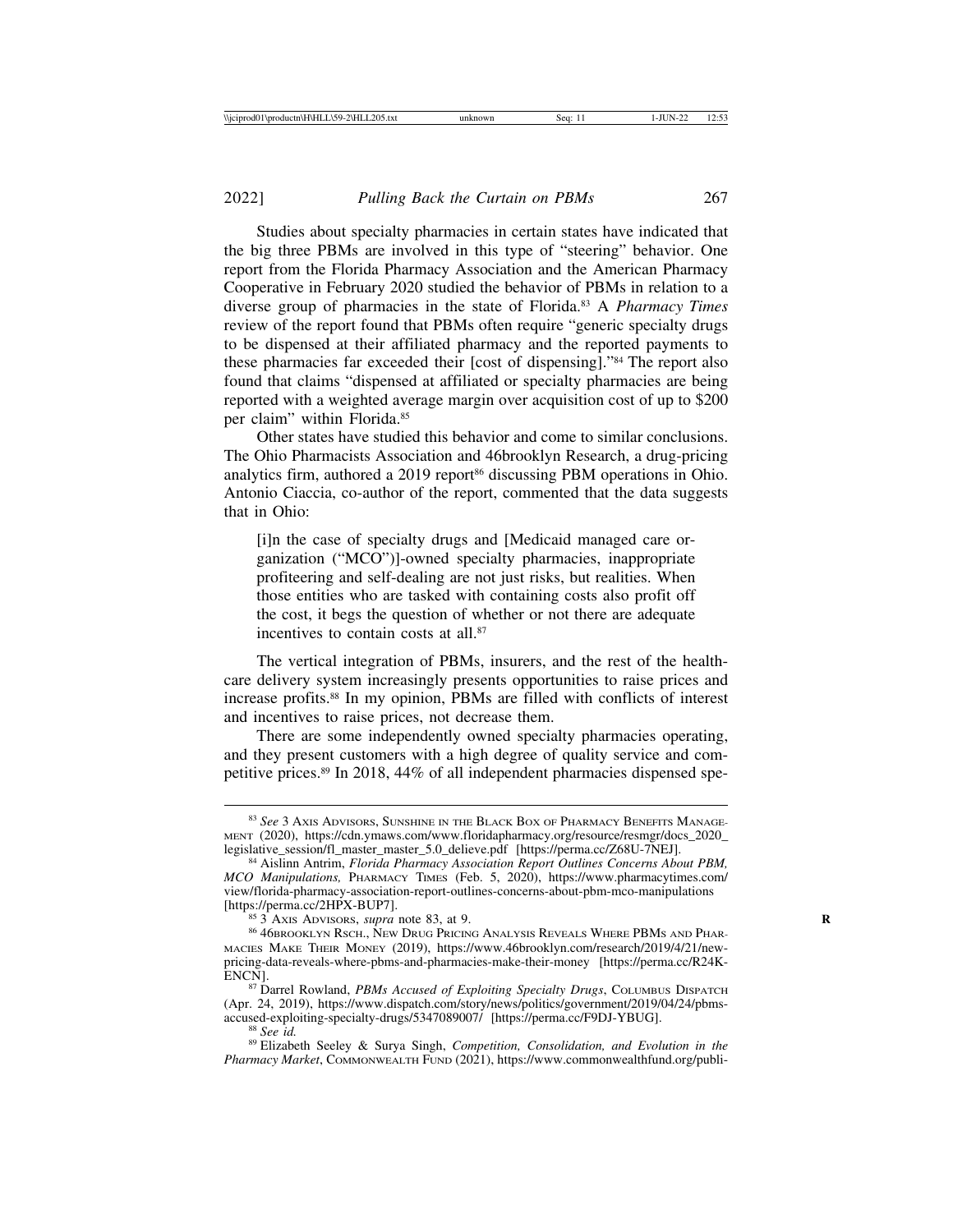Studies about specialty pharmacies in certain states have indicated that the big three PBMs are involved in this type of "steering" behavior. One report from the Florida Pharmacy Association and the American Pharmacy Cooperative in February 2020 studied the behavior of PBMs in relation to a diverse group of pharmacies in the state of Florida.83 A *Pharmacy Times* review of the report found that PBMs often require "generic specialty drugs to be dispensed at their affiliated pharmacy and the reported payments to these pharmacies far exceeded their [cost of dispensing]."84 The report also found that claims "dispensed at affiliated or specialty pharmacies are being reported with a weighted average margin over acquisition cost of up to \$200 per claim" within Florida.85

Other states have studied this behavior and come to similar conclusions. The Ohio Pharmacists Association and 46brooklyn Research, a drug-pricing analytics firm, authored a 2019 report<sup>86</sup> discussing PBM operations in Ohio. Antonio Ciaccia, co-author of the report, commented that the data suggests that in Ohio:

[i]n the case of specialty drugs and [Medicaid managed care organization ("MCO")]-owned specialty pharmacies, inappropriate profiteering and self-dealing are not just risks, but realities. When those entities who are tasked with containing costs also profit off the cost, it begs the question of whether or not there are adequate incentives to contain costs at all.<sup>87</sup>

The vertical integration of PBMs, insurers, and the rest of the healthcare delivery system increasingly presents opportunities to raise prices and increase profits.88 In my opinion, PBMs are filled with conflicts of interest and incentives to raise prices, not decrease them.

There are some independently owned specialty pharmacies operating, and they present customers with a high degree of quality service and competitive prices.89 In 2018, 44% of all independent pharmacies dispensed spe-

<sup>83</sup> *See* 3 AXIS ADVISORS, SUNSHINE IN THE BLACK BOX OF PHARMACY BENEFITS MANAGE-MENT (2020), https://cdn.ymaws.com/www.floridapharmacy.org/resource/resmgr/docs\_2020\_<br>legislative\_session/fl\_master\_master\_5.0\_delieve.pdf [https://perma.cc/Z68U-7NEJ].

<sup>&</sup>lt;sup>84</sup> Aislinn Antrim, *Florida Pharmacy Association Report Outlines Concerns About PBM, MCO Manipulations,* PHARMACY TIMES (Feb. 5, 2020), https://www.pharmacytimes.com/ view/florida-pharmacy-association-report-outlines-concerns-about-pbm-mco-manipulations

<sup>&</sup>lt;sup>85</sup> 3 Axis Advisors, *supra* note 83, at 9. **Rightlands** and Phar-<sup>86</sup> 46Brooklyn Rsch., New Drug Pricing Analysis Reveals Where PBMs and Phar-MACIES MAKE THEIR MONEY (2019), https://www.46brooklyn.com/research/2019/4/21/newpricing-data-reveals-where-pbms-and-pharmacies-make-their-money [https://perma.cc/R24K-

<sup>87</sup> Darrel Rowland, *PBMs Accused of Exploiting Specialty Drugs*, COLUMBUS DISPATCH (Apr. 24, 2019), https://www.dispatch.com/story/news/politics/government/2019/04/24/pbms-

<sup>&</sup>lt;sup>88</sup> See id.<br><sup>89</sup> Elizabeth Seeley & Surya Singh, *Competition, Consolidation, and Evolution in the Pharmacy Market*, COMMONWEALTH FUND (2021), https://www.commonwealthfund.org/publi-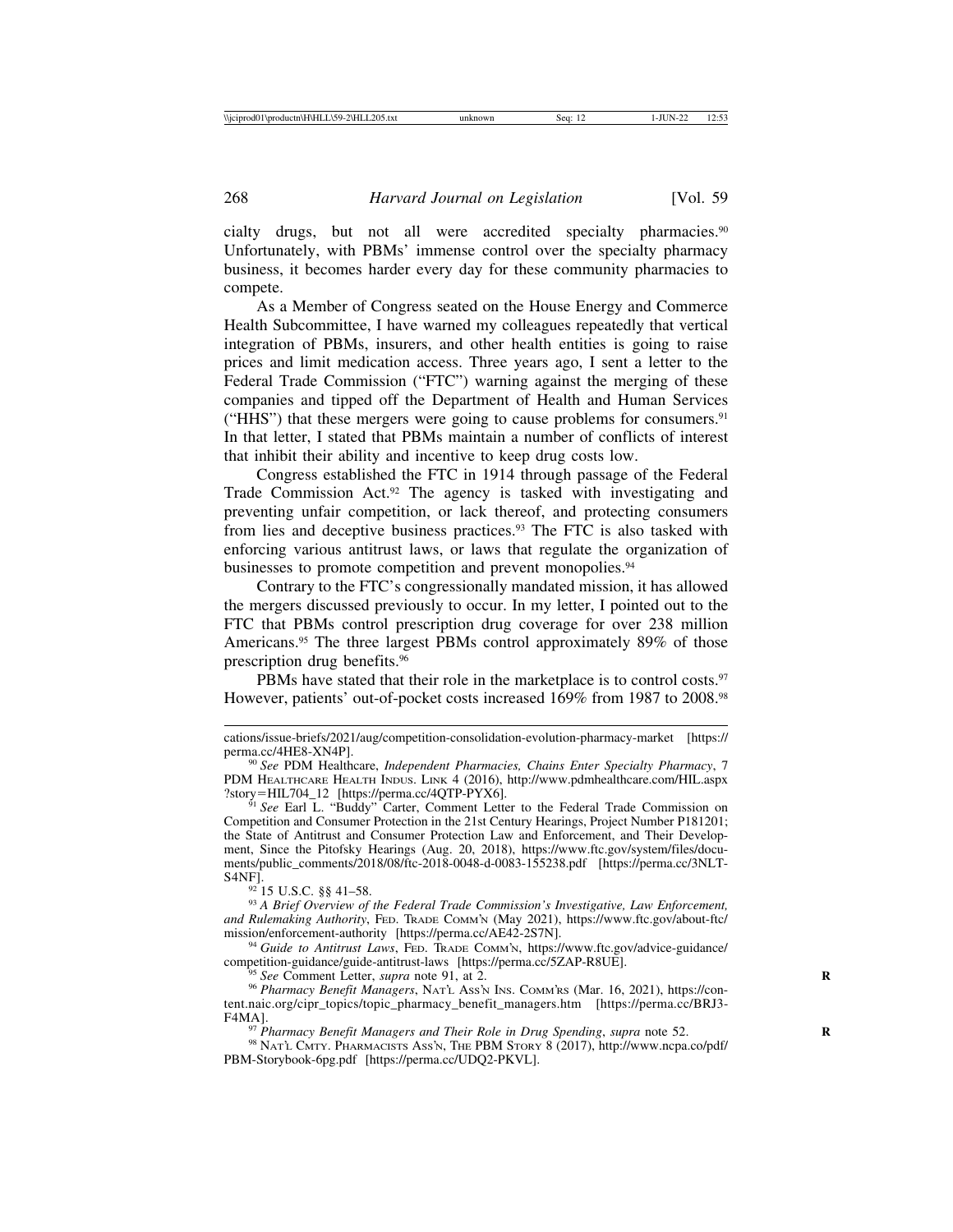cialty drugs, but not all were accredited specialty pharmacies.90 Unfortunately, with PBMs' immense control over the specialty pharmacy business, it becomes harder every day for these community pharmacies to compete.

As a Member of Congress seated on the House Energy and Commerce Health Subcommittee, I have warned my colleagues repeatedly that vertical integration of PBMs, insurers, and other health entities is going to raise prices and limit medication access. Three years ago, I sent a letter to the Federal Trade Commission ("FTC") warning against the merging of these companies and tipped off the Department of Health and Human Services ("HHS") that these mergers were going to cause problems for consumers. $91$ In that letter, I stated that PBMs maintain a number of conflicts of interest that inhibit their ability and incentive to keep drug costs low.

Congress established the FTC in 1914 through passage of the Federal Trade Commission Act.<sup>92</sup> The agency is tasked with investigating and preventing unfair competition, or lack thereof, and protecting consumers from lies and deceptive business practices.93 The FTC is also tasked with enforcing various antitrust laws, or laws that regulate the organization of businesses to promote competition and prevent monopolies.<sup>94</sup>

Contrary to the FTC's congressionally mandated mission, it has allowed the mergers discussed previously to occur. In my letter, I pointed out to the FTC that PBMs control prescription drug coverage for over 238 million Americans.<sup>95</sup> The three largest PBMs control approximately 89% of those prescription drug benefits.96

PBMs have stated that their role in the marketplace is to control costs.<sup>97</sup> However, patients' out-of-pocket costs increased 169% from 1987 to 2008.98

Competition and Consumer Protection in the 21st Century Hearings, Project Number P181201; the State of Antitrust and Consumer Protection Law and Enforcement, and Their Development, Since the Pitofsky Hearings (Aug. 20, 2018), https://www.ftc.gov/system/files/documents/public\_comments/2018/08/ftc-2018-0048-d-0083-155238.pdf [https://perma.cc/3NLT-

<sup>92</sup> 15 U.S.C. §§ 41–58.<br><sup>93</sup> A Brief Overview of the Federal Trade Commission's Investigative, Law Enforcement, *and Rulemaking Authority*, FED. TRADE COMM'N (May 2021), https://www.ftc.gov/about-ftc/

<sup>94</sup> Guide to Antitrust Laws, FED. TRADE COMM'N, https://www.ftc.gov/advice-guidance/<br>competition-guidance/guide-antitrust-laws [https://perma.cc/5ZAP-R8UE].

<sup>55</sup> See Comment Letter, *supra* note 91, at 2.<br><sup>96</sup> Pharmacy Benefit Managers, NATL Ass'N INS. COMM'RS (Mar. 16, 2021), https://content.naic.org/cipr\_topics/topic\_pharmacy\_benefit\_managers.htm [https://perma.cc/BRJ3- F4MA].<br><sup>97</sup> *Pharmacy Benefit Managers and Their Role in Drug Spending, supra* note 52.<br><sup>98</sup> NAT'L CMTY. PHARMACISTS ASS'N, THE PBM STORY 8 (2017), http://www.ncpa.co/pdf/

PBM-Storybook-6pg.pdf [https://perma.cc/UDQ2-PKVL].

cations/issue-briefs/2021/aug/competition-consolidation-evolution-pharmacy-market [https://

<sup>&</sup>lt;sup>90</sup> See PDM Healthcare, *Independent Pharmacies, Chains Enter Specialty Pharmacy*, 7 PDM HEALTHCARE HEALTH INDUS. LINK 4 (2016), http://www.pdmhealthcare.com/HIL.aspx ?story=HIL704\_12 [https://perma.cc/4QTP-PYX6]. <sup>91</sup> *See* Earl L. "Buddy" Carter, Comment Letter to the Federal Trade Commission on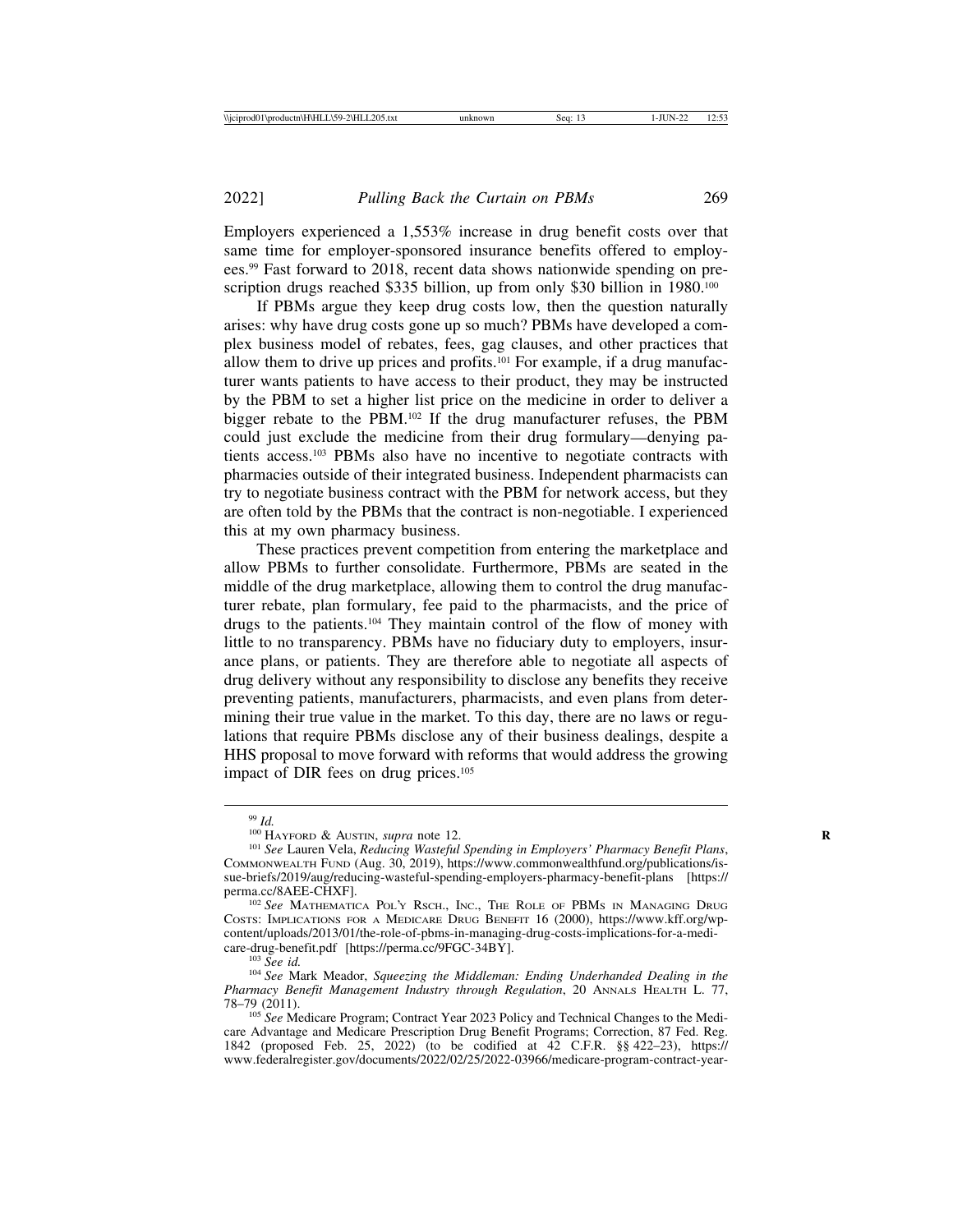Employers experienced a 1,553% increase in drug benefit costs over that same time for employer-sponsored insurance benefits offered to employees.99 Fast forward to 2018, recent data shows nationwide spending on prescription drugs reached \$335 billion, up from only \$30 billion in 1980.<sup>100</sup>

If PBMs argue they keep drug costs low, then the question naturally arises: why have drug costs gone up so much? PBMs have developed a complex business model of rebates, fees, gag clauses, and other practices that allow them to drive up prices and profits.101 For example, if a drug manufacturer wants patients to have access to their product, they may be instructed by the PBM to set a higher list price on the medicine in order to deliver a bigger rebate to the PBM.102 If the drug manufacturer refuses, the PBM could just exclude the medicine from their drug formulary—denying patients access.103 PBMs also have no incentive to negotiate contracts with pharmacies outside of their integrated business. Independent pharmacists can try to negotiate business contract with the PBM for network access, but they are often told by the PBMs that the contract is non-negotiable. I experienced this at my own pharmacy business.

These practices prevent competition from entering the marketplace and allow PBMs to further consolidate. Furthermore, PBMs are seated in the middle of the drug marketplace, allowing them to control the drug manufacturer rebate, plan formulary, fee paid to the pharmacists, and the price of drugs to the patients.104 They maintain control of the flow of money with little to no transparency. PBMs have no fiduciary duty to employers, insurance plans, or patients. They are therefore able to negotiate all aspects of drug delivery without any responsibility to disclose any benefits they receive preventing patients, manufacturers, pharmacists, and even plans from determining their true value in the market. To this day, there are no laws or regulations that require PBMs disclose any of their business dealings, despite a HHS proposal to move forward with reforms that would address the growing impact of DIR fees on drug prices.<sup>105</sup>

<sup>&</sup>lt;sup>99</sup> *Id.* 100 HAYFORD & AUSTIN, *supra* note 12.<br><sup>100</sup> HAYFORD & AUSTIN, *supra* note 12.<br><sup>101</sup> See Lauren Vela, *Reducing Wasteful Spending in Employers' Pharmacy Benefit Plans,* COMMONWEALTH FUND (Aug. 30, 2019), https://www.commonwealthfund.org/publications/issue-briefs/2019/aug/reducing-wasteful-spending-employers-pharmacy-benefit-plans [https://<br>perma.cc/8AEE-CHXF].

<sup>&</sup>lt;sup>102</sup> See MATHEMATICA POL'Y RSCH., INC., THE ROLE OF PBMS IN MANAGING DRUG COSTS: IMPLICATIONS FOR A MEDICARE DRUG BENEFIT 16 (2000), https://www.kff.org/wpcontent/uploads/2013/01/the-role-of-pbms-in-managing-drug-costs-implications-for-a-medi-

<sup>&</sup>lt;sup>103</sup> See id.<br><sup>104</sup> See Mark Meador, *Squeezing the Middleman: Ending Underhanded Dealing in the Pharmacy Benefit Management Industry through Regulation*, 20 ANNALS HEALTH L. 77, 78–79 (2011).

<sup>105</sup> *See* Medicare Program; Contract Year 2023 Policy and Technical Changes to the Medicare Advantage and Medicare Prescription Drug Benefit Programs; Correction, 87 Fed. Reg. 1842 (proposed Feb. 25, 2022) (to be codified at 42 C.F.R. §§ 422–23), https:// www.federalregister.gov/documents/2022/02/25/2022-03966/medicare-program-contract-year-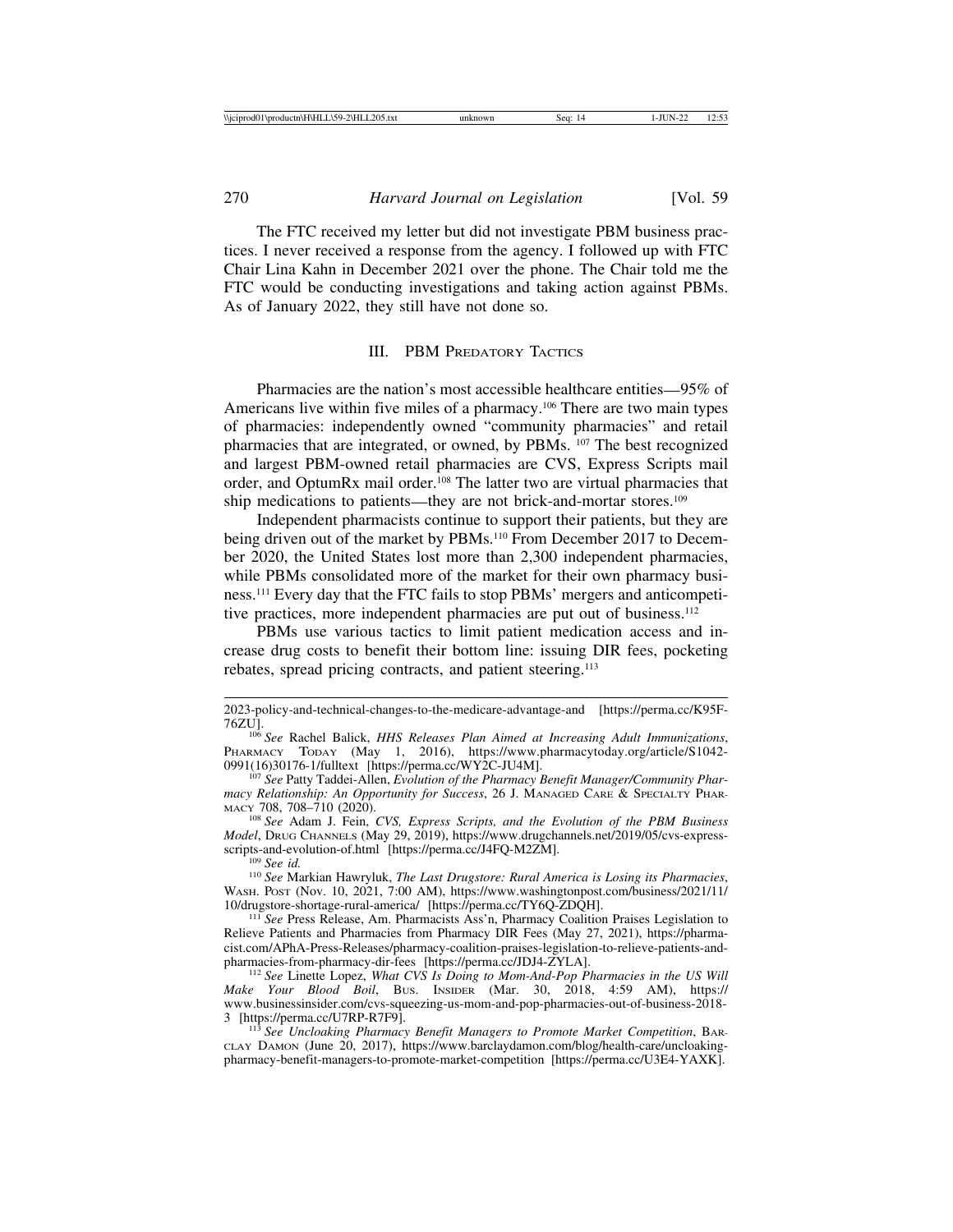The FTC received my letter but did not investigate PBM business practices. I never received a response from the agency. I followed up with FTC Chair Lina Kahn in December 2021 over the phone. The Chair told me the FTC would be conducting investigations and taking action against PBMs. As of January 2022, they still have not done so.

## III. PBM PREDATORY TACTICS

Pharmacies are the nation's most accessible healthcare entities—95% of Americans live within five miles of a pharmacy.<sup>106</sup> There are two main types of pharmacies: independently owned "community pharmacies" and retail pharmacies that are integrated, or owned, by PBMs. 107 The best recognized and largest PBM-owned retail pharmacies are CVS, Express Scripts mail order, and OptumRx mail order.108 The latter two are virtual pharmacies that ship medications to patients—they are not brick-and-mortar stores.<sup>109</sup>

Independent pharmacists continue to support their patients, but they are being driven out of the market by PBMs.<sup>110</sup> From December 2017 to December 2020, the United States lost more than 2,300 independent pharmacies, while PBMs consolidated more of the market for their own pharmacy business.111 Every day that the FTC fails to stop PBMs' mergers and anticompetitive practices, more independent pharmacies are put out of business.<sup>112</sup>

PBMs use various tactics to limit patient medication access and increase drug costs to benefit their bottom line: issuing DIR fees, pocketing rebates, spread pricing contracts, and patient steering.113

<sup>109</sup> See id.<br><sup>110</sup> See Markian Hawryluk, *The Last Drugstore: Rural America is Losing its Pharmacies*, WASH. POST (Nov. 10, 2021, 7:00 AM), https://www.washingtonpost.com/business/2021/11/<br>10/drugstore-shortage-rural-america/ [https://perma.cc/TY6Q-ZDQH].

<sup>111</sup> See Press Release, Am. Pharmacists Ass'n, Pharmacy Coalition Praises Legislation to Relieve Patients and Pharmacies from Pharmacy DIR Fees (May 27, 2021), https://pharmacist.com/APhA-Press-Releases/pharmacy-coalition-praises-legislation-to-relieve-patients-and-

<sup>112</sup> See Linette Lopez, *What CVS Is Doing to Mom-And-Pop Pharmacies in the US Will Make Your Blood Boil*, BUS. INSIDER (Mar. 30, 2018, 4:59 AM), https:// www.businessinsider.com/cvs-squeezing-us-mom-and-pop-pharmacies-out-of-business-2018-

<sup>113</sup> See Uncloaking Pharmacy Benefit Managers to Promote Market Competition, BAR-CLAY DAMON (June 20, 2017), https://www.barclaydamon.com/blog/health-care/uncloakingpharmacy-benefit-managers-to-promote-market-competition [https://perma.cc/U3E4-YAXK].

<sup>2023-</sup>policy-and-technical-changes-to-the-medicare-advantage-and [https://perma.cc/K95F-

<sup>&</sup>lt;sup>106</sup> See Rachel Balick, *HHS Releases Plan Aimed at Increasing Adult Immunizations*, PHARMACY TODAY (May 1, 2016), https://www.pharmacytoday.org/article/S1042-0991(16)30176-1/fulltext [https://perma.cc/WY2C-JU4M].

<sup>&</sup>lt;sup>107</sup> See Patty Taddei-Allen, *Evolution of the Pharmacy Benefit Manager/Community Pharmacy Relationship: An Opportunity for Success*, 26 J. MANAGED CARE & SPECIALTY PHARMACY 708, 708-710 (2020).

<sup>&</sup>lt;sup>108</sup> See Adam J. Fein, *CVS, Express Scripts, and the Evolution of the PBM Business Model*, Drug CHANNELS (May 29, 2019), https://www.drugchannels.net/2019/05/cvs-express-<br>scripts-and-evolution-of.html [https://perma.cc/J4FQ-M2ZM].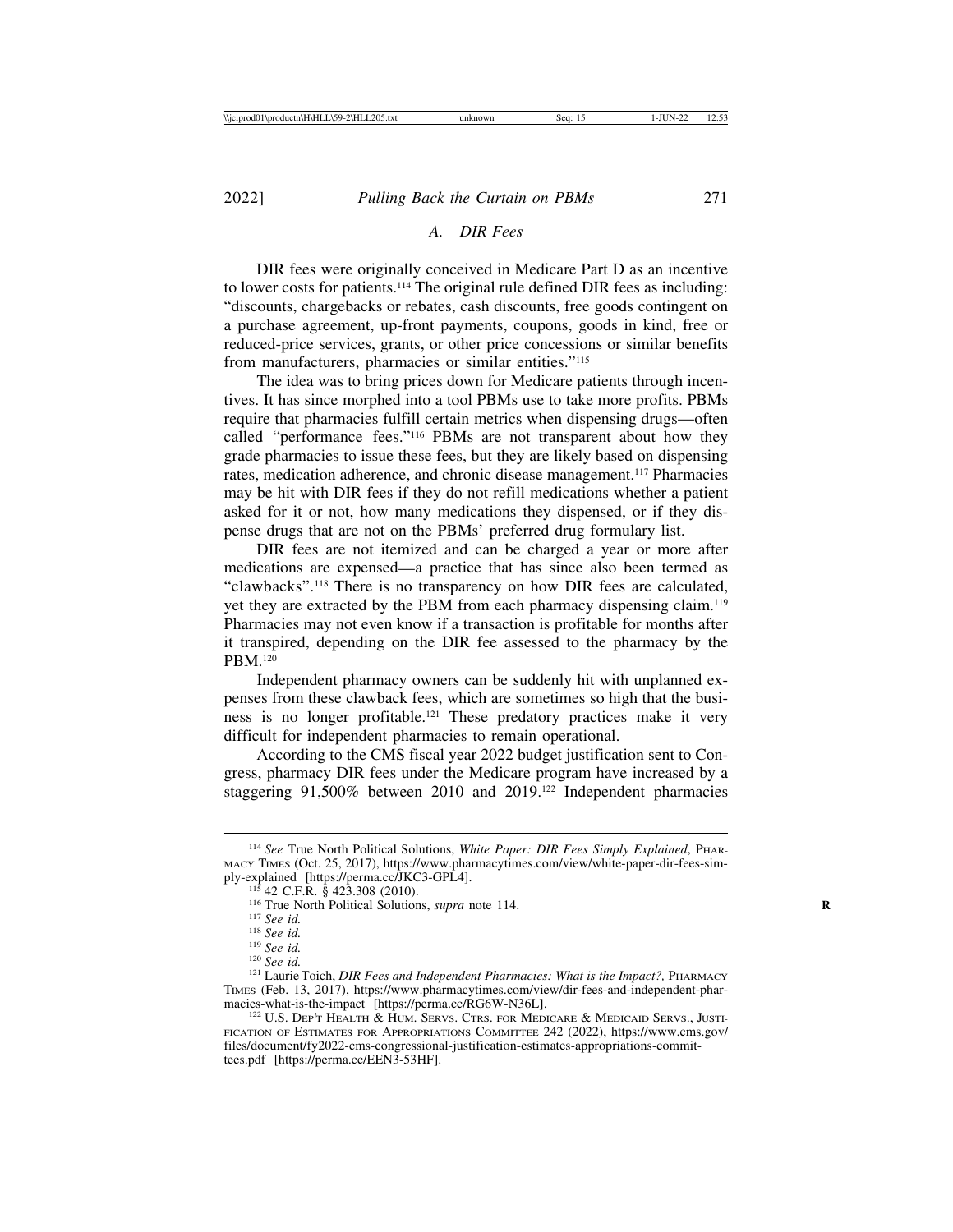# *A. DIR Fees*

DIR fees were originally conceived in Medicare Part D as an incentive to lower costs for patients.114 The original rule defined DIR fees as including: "discounts, chargebacks or rebates, cash discounts, free goods contingent on a purchase agreement, up-front payments, coupons, goods in kind, free or reduced-price services, grants, or other price concessions or similar benefits from manufacturers, pharmacies or similar entities."<sup>115</sup>

The idea was to bring prices down for Medicare patients through incentives. It has since morphed into a tool PBMs use to take more profits. PBMs require that pharmacies fulfill certain metrics when dispensing drugs—often called "performance fees."116 PBMs are not transparent about how they grade pharmacies to issue these fees, but they are likely based on dispensing rates, medication adherence, and chronic disease management.117 Pharmacies may be hit with DIR fees if they do not refill medications whether a patient asked for it or not, how many medications they dispensed, or if they dispense drugs that are not on the PBMs' preferred drug formulary list.

DIR fees are not itemized and can be charged a year or more after medications are expensed—a practice that has since also been termed as "clawbacks".118 There is no transparency on how DIR fees are calculated, yet they are extracted by the PBM from each pharmacy dispensing claim.119 Pharmacies may not even know if a transaction is profitable for months after it transpired, depending on the DIR fee assessed to the pharmacy by the PBM.120

Independent pharmacy owners can be suddenly hit with unplanned expenses from these clawback fees, which are sometimes so high that the business is no longer profitable.121 These predatory practices make it very difficult for independent pharmacies to remain operational.

According to the CMS fiscal year 2022 budget justification sent to Congress, pharmacy DIR fees under the Medicare program have increased by a staggering 91,500% between 2010 and 2019.122 Independent pharmacies

<sup>114</sup> *See* True North Political Solutions, *White Paper: DIR Fees Simply Explained*, PHAR-MACY TIMES (Oct. 25, 2017), https://www.pharmacytimes.com/view/white-paper-dir-fees-sim-

<sup>&</sup>lt;sup>115</sup> 42 C.F.R. § 423.308 (2010).<br><sup>116</sup> True North Political Solutions, *supra* note 114.<br><sup>117</sup> See id.<br><sup>118</sup> See id.<br><sup>129</sup> See id.<br><sup>129</sup> See id.<br><sup>129</sup> See id. TIMES (Feb. 13, 2017), https://www.pharmacytimes.com/view/dir-fees-and-independent-pharmacies-what-is-the-impact [https://perma.cc/RG6W-N36L].

<sup>&</sup>lt;sup>122</sup> U.S. Dep't Health & Hum. Servs. Ctrs. for Medicare & Medicaid Servs., Justi-FICATION OF ESTIMATES FOR APPROPRIATIONS COMMITTEE 242 (2022), https://www.cms.gov/ files/document/fy2022-cms-congressional-justification-estimates-appropriations-committees.pdf [https://perma.cc/EEN3-53HF].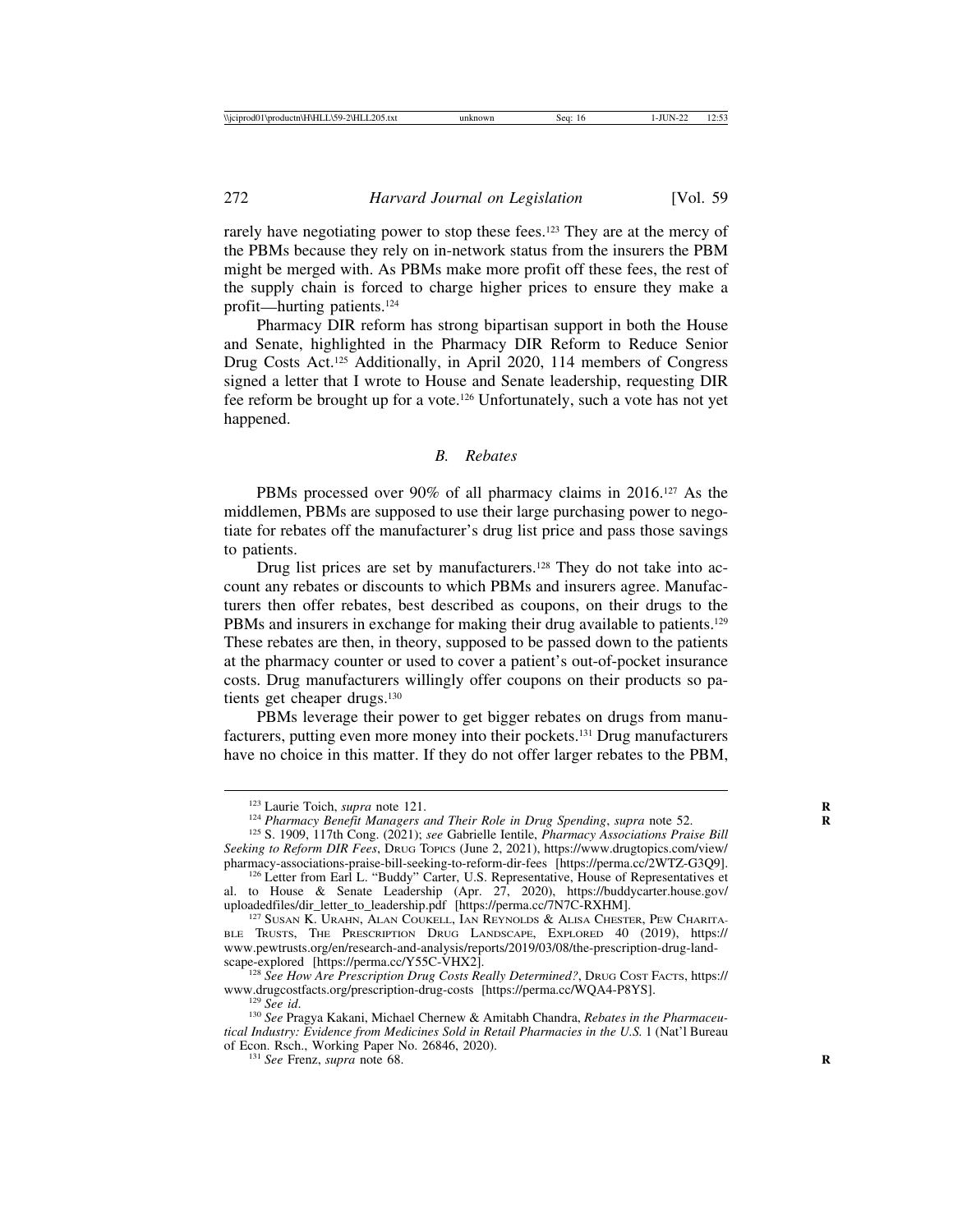rarely have negotiating power to stop these fees.<sup>123</sup> They are at the mercy of the PBMs because they rely on in-network status from the insurers the PBM might be merged with. As PBMs make more profit off these fees, the rest of the supply chain is forced to charge higher prices to ensure they make a profit—hurting patients.124

Pharmacy DIR reform has strong bipartisan support in both the House and Senate, highlighted in the Pharmacy DIR Reform to Reduce Senior Drug Costs Act.125 Additionally, in April 2020, 114 members of Congress signed a letter that I wrote to House and Senate leadership, requesting DIR fee reform be brought up for a vote.126 Unfortunately, such a vote has not yet happened.

#### *B. Rebates*

PBMs processed over 90% of all pharmacy claims in 2016.<sup>127</sup> As the middlemen, PBMs are supposed to use their large purchasing power to negotiate for rebates off the manufacturer's drug list price and pass those savings to patients.

Drug list prices are set by manufacturers.<sup>128</sup> They do not take into account any rebates or discounts to which PBMs and insurers agree. Manufacturers then offer rebates, best described as coupons, on their drugs to the PBMs and insurers in exchange for making their drug available to patients.<sup>129</sup> These rebates are then, in theory, supposed to be passed down to the patients at the pharmacy counter or used to cover a patient's out-of-pocket insurance costs. Drug manufacturers willingly offer coupons on their products so patients get cheaper drugs.<sup>130</sup>

PBMs leverage their power to get bigger rebates on drugs from manufacturers, putting even more money into their pockets.131 Drug manufacturers have no choice in this matter. If they do not offer larger rebates to the PBM,

<sup>&</sup>lt;sup>123</sup> Laurie Toich, *supra* note 121.<br><sup>124</sup> Pharmacy Benefit Managers and Their Role in Drug Spending, supra note 52.<br><sup>125</sup> S. 1909, 117th Cong. (2021); see Gabrielle Ientile, *Pharmacy Associations Praise Bill* 

*Seeking to Reform DIR Fees*, DRUG TOPICS (June 2, 2021), https://www.drugtopics.com/view/

<sup>&</sup>lt;sup>126</sup> Letter from Earl L. "Buddy" Carter, U.S. Representative, House of Representatives et al. to House & Senate Leadership (Apr. 27, 2020), https://buddycarter.house.gov/ uploadedfiles/dir\_letter\_to\_leadership.pdf [https://perma.cc/7N7C-RXHM]. <sup>127</sup> SUSAN K. URAHN, ALAN COUKELL, IAN REYNOLDS & ALISA CHESTER, PEW CHARITA-

<sup>&</sup>lt;sup>127</sup> SUSAN K. URAHN, ALAN COUKELL, IAN REYNOLDS & ALISA CHESTER, PEW CHARITABLE TRUSTS, THE PRESCRIPTION DRUG LANDSCAPE, EXPLORED 40 (2019), https:// www.pewtrusts.org/en/research-and-analysis/reports/2019/03/08/the-prescription-drug-land-<br>scape-explored [https://perma.cc/Y55C-VHX2].

<sup>&</sup>lt;sup>128</sup> *See How Are Prescription Drug Costs Really Determined?*, DRUG Cost Facts, https://<br>www.drugcostfacts.org/prescription-drug-costs [https://perma.cc/WQA4-P8YS].

<sup>&</sup>lt;sup>129</sup> See id.<br><sup>130</sup> See Pragya Kakani, Michael Chernew & Amitabh Chandra, *Rebates in the Pharmaceutical Industry: Evidence from Medicines Sold in Retail Pharmacies in the U.S.* 1 (Nat'l Bureau of Econ. Rsch., Working Paper No. 26846, 2020). <sup>131</sup> *See* Frenz, *supra* note 68. **<sup>R</sup>**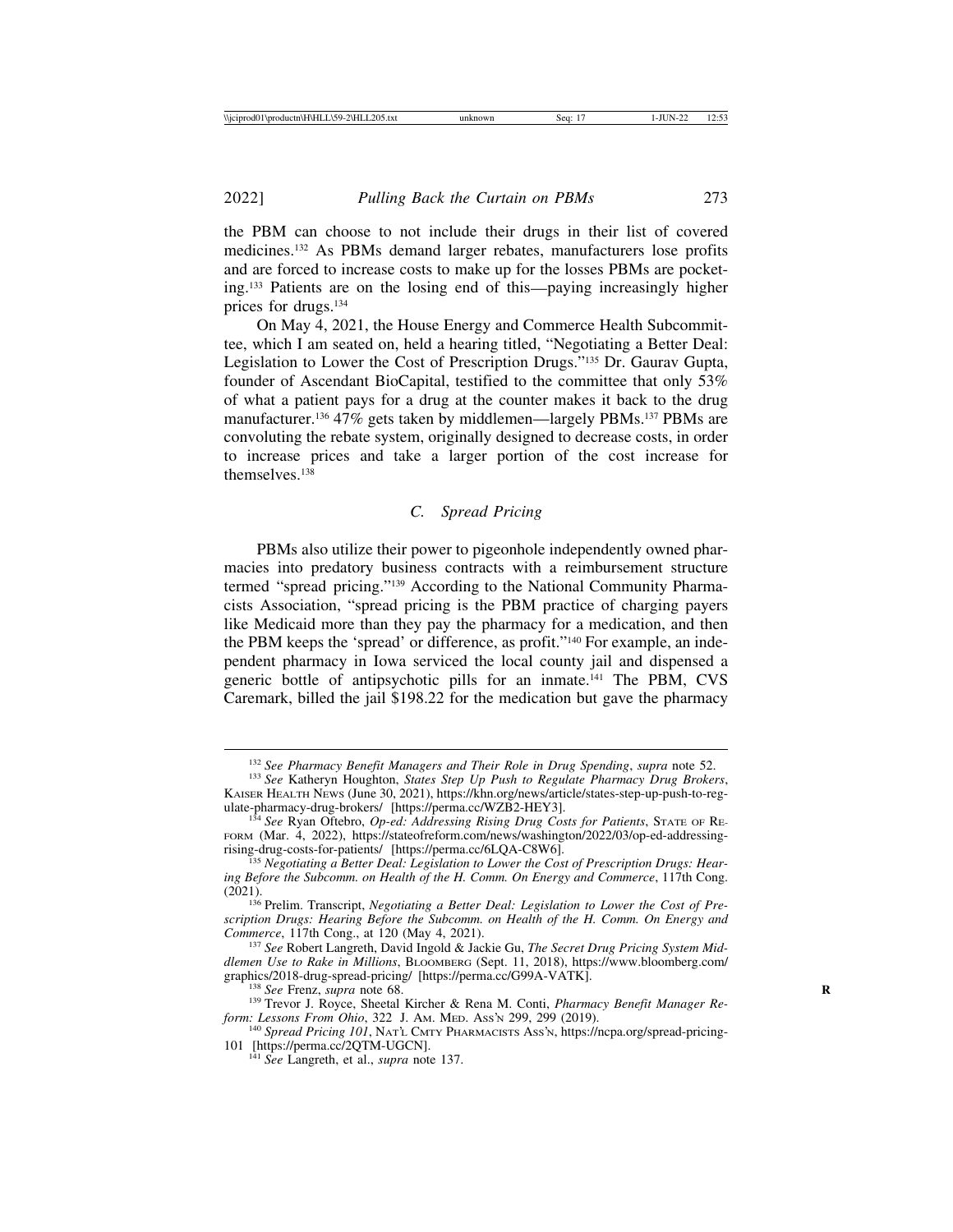the PBM can choose to not include their drugs in their list of covered medicines.132 As PBMs demand larger rebates, manufacturers lose profits and are forced to increase costs to make up for the losses PBMs are pocketing.133 Patients are on the losing end of this—paying increasingly higher prices for drugs.134

On May 4, 2021, the House Energy and Commerce Health Subcommittee, which I am seated on, held a hearing titled, "Negotiating a Better Deal: Legislation to Lower the Cost of Prescription Drugs."135 Dr. Gaurav Gupta, founder of Ascendant BioCapital, testified to the committee that only 53% of what a patient pays for a drug at the counter makes it back to the drug manufacturer.<sup>136</sup> 47% gets taken by middlemen—largely PBMs.<sup>137</sup> PBMs are convoluting the rebate system, originally designed to decrease costs, in order to increase prices and take a larger portion of the cost increase for themselves.138

# *C. Spread Pricing*

PBMs also utilize their power to pigeonhole independently owned pharmacies into predatory business contracts with a reimbursement structure termed "spread pricing."139 According to the National Community Pharmacists Association, "spread pricing is the PBM practice of charging payers like Medicaid more than they pay the pharmacy for a medication, and then the PBM keeps the 'spread' or difference, as profit."140 For example, an independent pharmacy in Iowa serviced the local county jail and dispensed a generic bottle of antipsychotic pills for an inmate.141 The PBM, CVS Caremark, billed the jail \$198.22 for the medication but gave the pharmacy

<sup>132</sup> *See Pharmacy Benefit Managers and Their Role in Drug Spending*, *supra* note 52. <sup>133</sup> *See* Katheryn Houghton, *States Step Up Push to Regulate Pharmacy Drug Brokers*,

KAISER HEALTH NEWS (June 30, 2021), https://khn.org/news/article/states-step-up-push-to-reg-<br>ulate-pharmacy-drug-brokers/ [https://perma.cc/WZB2-HEY3].

<sup>&</sup>lt;sup>134</sup> See Ryan Oftebro, *Op-ed: Addressing Rising Drug Costs for Patients*, STATE OF RE-FORM (Mar. 4, 2022), https://stateofreform.com/news/washington/2022/03/op-ed-addressing-<br>rising-drug-costs-for-patients/ [https://perma.cc/6LQA-C8W6].

<sup>&</sup>lt;sup>135</sup> Negotiating a Better Deal: Legislation to Lower the Cost of Prescription Drugs: Hear*ing Before the Subcomm. on Health of the H. Comm. On Energy and Commerce*, 117th Cong. (2021). <sup>136</sup> Prelim. Transcript, *Negotiating a Better Deal: Legislation to Lower the Cost of Pre-*

*scription Drugs: Hearing Before the Subcomm. on Health of the H. Comm. On Energy and*

<sup>&</sup>lt;sup>137</sup> See Robert Langreth, David Ingold & Jackie Gu, *The Secret Drug Pricing System Middlemen Use to Rake in Millions*, BLOOMBERG (Sept. 11, 2018), https://www.bloomberg.com/<br>graphics/2018-drug-spread-pricing/ [https://perma.cc/G99A-VATK].

<sup>&</sup>lt;sup>138</sup> See Frenz, *supra* note 68. <sup>139</sup> Trevor J. Royce, Sheetal Kircher & Rena M. Conti, *Pharmacy Benefit Manager Reform: Lessons From Ohio, 322 J. Am. MED. Ass'n 299, 299 (2019).* 

<sup>&</sup>lt;sup>140</sup> Spread Pricing 101, NAT'L CMTY PHARMACISTS Ass'N, https://ncpa.org/spread-pricing-101 [https://perma.cc/2QTM-UGCN].

<sup>&</sup>lt;sup>141</sup> See Langreth, et al., *supra* note 137.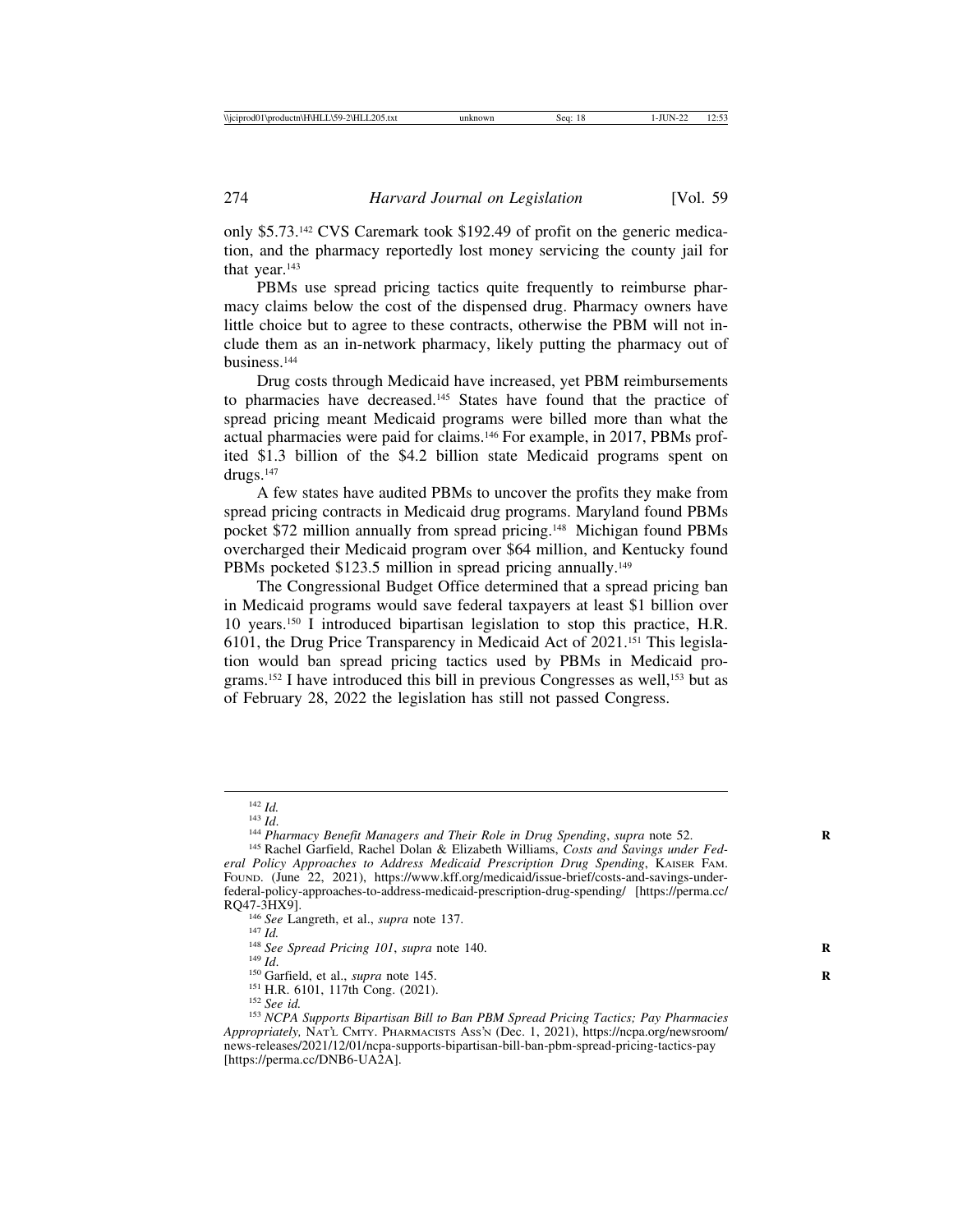only \$5.73.142 CVS Caremark took \$192.49 of profit on the generic medication, and the pharmacy reportedly lost money servicing the county jail for that year.<sup>143</sup>

PBMs use spread pricing tactics quite frequently to reimburse pharmacy claims below the cost of the dispensed drug. Pharmacy owners have little choice but to agree to these contracts, otherwise the PBM will not include them as an in-network pharmacy, likely putting the pharmacy out of business.144

Drug costs through Medicaid have increased, yet PBM reimbursements to pharmacies have decreased.145 States have found that the practice of spread pricing meant Medicaid programs were billed more than what the actual pharmacies were paid for claims.146 For example, in 2017, PBMs profited \$1.3 billion of the \$4.2 billion state Medicaid programs spent on drugs.147

A few states have audited PBMs to uncover the profits they make from spread pricing contracts in Medicaid drug programs. Maryland found PBMs pocket \$72 million annually from spread pricing.148 Michigan found PBMs overcharged their Medicaid program over \$64 million, and Kentucky found PBMs pocketed \$123.5 million in spread pricing annually.<sup>149</sup>

The Congressional Budget Office determined that a spread pricing ban in Medicaid programs would save federal taxpayers at least \$1 billion over 10 years.150 I introduced bipartisan legislation to stop this practice, H.R. 6101, the Drug Price Transparency in Medicaid Act of 2021.151 This legislation would ban spread pricing tactics used by PBMs in Medicaid programs.<sup>152</sup> I have introduced this bill in previous Congresses as well,<sup>153</sup> but as of February 28, 2022 the legislation has still not passed Congress.

<sup>&</sup>lt;sup>142</sup> *Id.*<br><sup>143</sup> *Id.* 144 *Pharmacy Benefit Managers and Their Role in Drug Spending, supra note 52.*<br><sup>145</sup> Rachel Garfield, Rachel Dolan & Elizabeth Williams, *Costs and Savings under Fed-*

*eral Policy Approaches to Address Medicaid Prescription Drug Spending*, KAISER FAM. FOUND. (June 22, 2021), https://www.kff.org/medicaid/issue-brief/costs-and-savings-underfederal-policy-approaches-to-address-medicaid-prescription-drug-spending/ [https://perma.cc/

RQ47-3HX9].<br>
<sup>146</sup> See Langreth, et al., *supra* note 137.<br>
<sup>147</sup> Id.<br>
<sup>148</sup> See Spread Pricing 101, supra note 140.<br>
<sup>149</sup> Id.<br>
<sup>150</sup> Garfield, et al., *supra* note 145.<br>
<sup>151</sup> H.R. 6101, 117th Cong. (2021).<br>
<sup>152</sup> See i <sup>153</sup> NCPA Supports Bipartisan Bill to Ban PBM Spread Pricing Tactics; Pay Pharmacies Appropriately, NAT'L CMTY. PHARMACISTS ASS'N (Dec. 1, 2021), https://ncpa.org/newsroom/ news-releases/2021/12/01/ncpa-supports-bipartisan-bill-ban-pbm-spread-pricing-tactics-pay [https://perma.cc/DNB6-UA2A].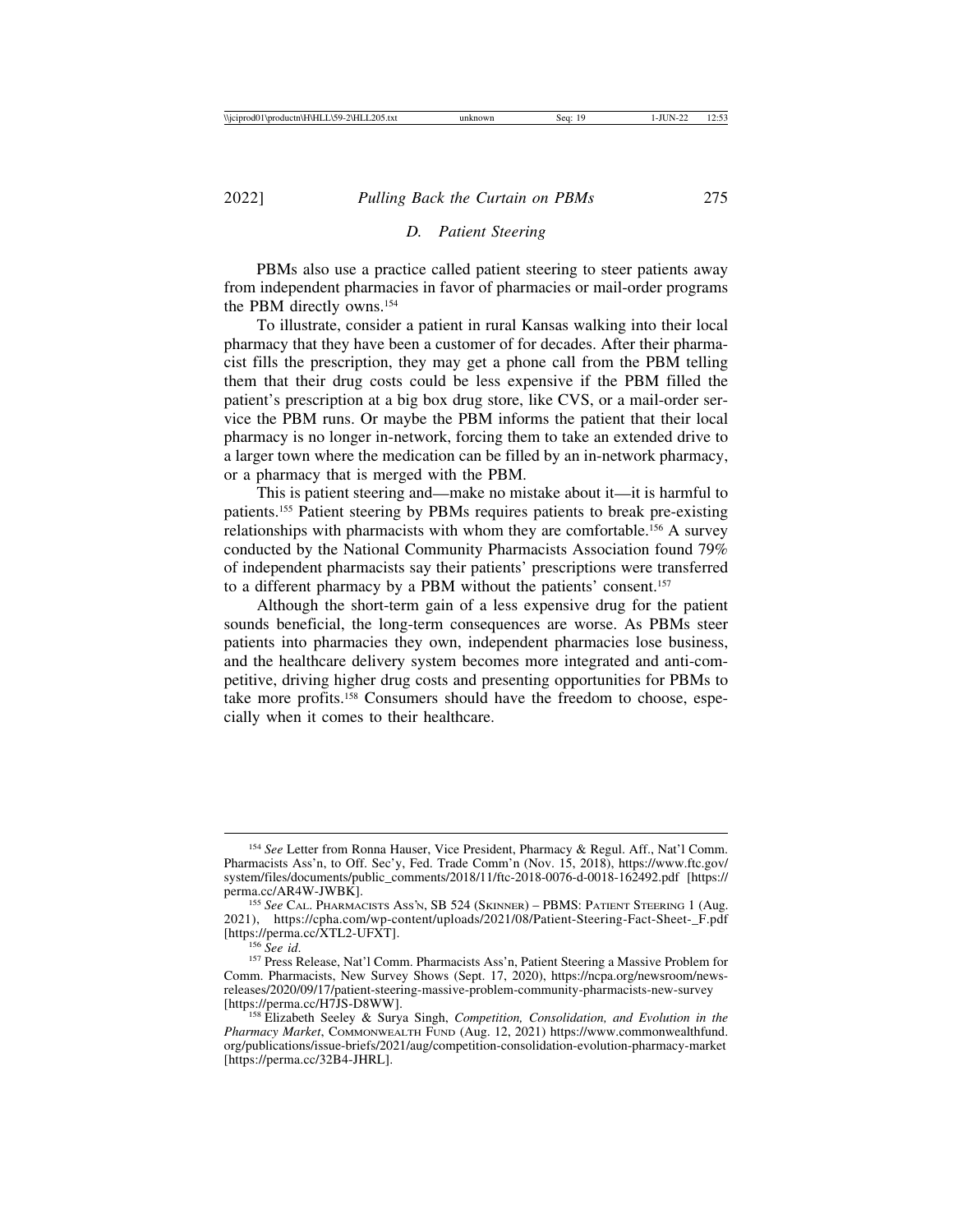## *D. Patient Steering*

PBMs also use a practice called patient steering to steer patients away from independent pharmacies in favor of pharmacies or mail-order programs the PBM directly owns.154

To illustrate, consider a patient in rural Kansas walking into their local pharmacy that they have been a customer of for decades. After their pharmacist fills the prescription, they may get a phone call from the PBM telling them that their drug costs could be less expensive if the PBM filled the patient's prescription at a big box drug store, like CVS, or a mail-order service the PBM runs. Or maybe the PBM informs the patient that their local pharmacy is no longer in-network, forcing them to take an extended drive to a larger town where the medication can be filled by an in-network pharmacy, or a pharmacy that is merged with the PBM.

This is patient steering and—make no mistake about it—it is harmful to patients.155 Patient steering by PBMs requires patients to break pre-existing relationships with pharmacists with whom they are comfortable.156 A survey conducted by the National Community Pharmacists Association found 79% of independent pharmacists say their patients' prescriptions were transferred to a different pharmacy by a PBM without the patients' consent.157

Although the short-term gain of a less expensive drug for the patient sounds beneficial, the long-term consequences are worse. As PBMs steer patients into pharmacies they own, independent pharmacies lose business, and the healthcare delivery system becomes more integrated and anti-competitive, driving higher drug costs and presenting opportunities for PBMs to take more profits.158 Consumers should have the freedom to choose, especially when it comes to their healthcare.

<sup>154</sup> *See* Letter from Ronna Hauser, Vice President, Pharmacy & Regul. Aff., Nat'l Comm. Pharmacists Ass'n, to Off. Sec'y, Fed. Trade Comm'n (Nov. 15, 2018), https://www.ftc.gov/ system/files/documents/public\_comments/2018/11/ftc-2018-0076-d-0018-162492.pdf [https://<br>perma.cc/AR4W-JWBK].

<sup>&</sup>lt;sup>155</sup> See CAL. PHARMACISTS ASS'N, SB 524 (SKINNER) – PBMS: PATIENT STEERING 1 (Aug. 2021), https://cpha.com/wp-content/uploads/2021/08/Patient-Steering-Fact-Sheet-\_F.pdf [https://perma.cc/XTL2-UFXT]. <sup>156</sup> *See id*. <sup>157</sup> Press Release, Nat'l Comm. Pharmacists Ass'n, Patient Steering a Massive Problem for

Comm. Pharmacists, New Survey Shows (Sept. 17, 2020), https://ncpa.org/newsroom/newsreleases/2020/09/17/patient-steering-massive-problem-community-pharmacists-new-survey

<sup>&</sup>lt;sup>158</sup> Elizabeth Seeley & Surya Singh, *Competition, Consolidation, and Evolution in the Pharmacy Market*, COMMONWEALTH FUND (Aug. 12, 2021) https://www.commonwealthfund. org/publications/issue-briefs/2021/aug/competition-consolidation-evolution-pharmacy-market [https://perma.cc/32B4-JHRL].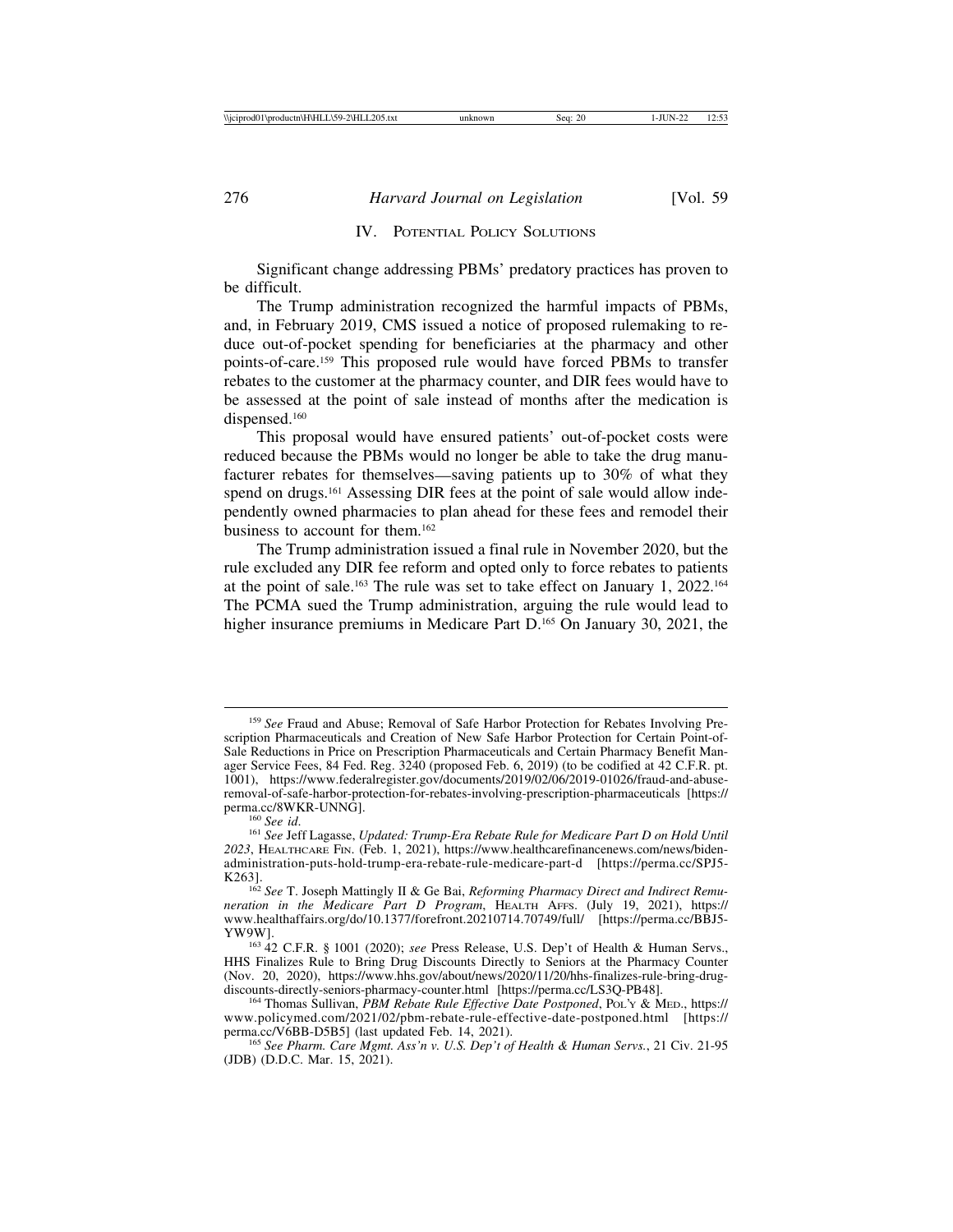# IV. POTENTIAL POLICY SOLUTIONS

Significant change addressing PBMs' predatory practices has proven to be difficult.

The Trump administration recognized the harmful impacts of PBMs, and, in February 2019, CMS issued a notice of proposed rulemaking to reduce out-of-pocket spending for beneficiaries at the pharmacy and other points-of-care.159 This proposed rule would have forced PBMs to transfer rebates to the customer at the pharmacy counter, and DIR fees would have to be assessed at the point of sale instead of months after the medication is dispensed.160

This proposal would have ensured patients' out-of-pocket costs were reduced because the PBMs would no longer be able to take the drug manufacturer rebates for themselves—saving patients up to 30% of what they spend on drugs.<sup>161</sup> Assessing DIR fees at the point of sale would allow independently owned pharmacies to plan ahead for these fees and remodel their business to account for them.162

The Trump administration issued a final rule in November 2020, but the rule excluded any DIR fee reform and opted only to force rebates to patients at the point of sale.163 The rule was set to take effect on January 1, 2022.164 The PCMA sued the Trump administration, arguing the rule would lead to higher insurance premiums in Medicare Part D.<sup>165</sup> On January 30, 2021, the

<sup>159</sup> *See* Fraud and Abuse; Removal of Safe Harbor Protection for Rebates Involving Prescription Pharmaceuticals and Creation of New Safe Harbor Protection for Certain Point-of-Sale Reductions in Price on Prescription Pharmaceuticals and Certain Pharmacy Benefit Manager Service Fees, 84 Fed. Reg. 3240 (proposed Feb. 6, 2019) (to be codified at 42 C.F.R. pt. 1001), https://www.federalregister.gov/documents/2019/02/06/2019-01026/fraud-and-abuseremoval-of-safe-harbor-protection-for-rebates-involving-prescription-pharmaceuticals [https://

<sup>&</sup>lt;sup>160</sup> See id.<br><sup>161</sup> See Jeff Lagasse, *Updated: Trump-Era Rebate Rule for Medicare Part D on Hold Until 2023*, HEALTHCARE FIN. (Feb. 1, 2021), https://www.healthcarefinancenews.com/news/bidenadministration-puts-hold-trump-era-rebate-rule-medicare-part-d [https://perma.cc/SPJ5-

<sup>&</sup>lt;sup>162</sup> See T. Joseph Mattingly II & Ge Bai, *Reforming Pharmacy Direct and Indirect Remuneration in the Medicare Part D Program*, HEALTH AFFS. (July 19, 2021), https:// www.healthaffairs.org/do/10.1377/forefront.20210714.70749/full/ [https://perma.cc/BBJ5-YW9W].

<sup>&</sup>lt;sup>163</sup> 42 C.F.R. § 1001 (2020); *see* Press Release, U.S. Dep't of Health & Human Servs., HHS Finalizes Rule to Bring Drug Discounts Directly to Seniors at the Pharmacy Counter (Nov. 20, 2020), https://www.hhs.gov/about/news/2020/11/20/hhs-finalizes-rule-bring-drug-<br>discounts-directly-seniors-pharmacy-counter.html [https://perma.cc/LS3Q-PB48].

<sup>&</sup>lt;sup>164</sup> Thomas Sullivan, *PBM Rebate Rule Effective Date Postponed*, PoL'y & MED., https:// www.policymed.com/2021/02/pbm-rebate-rule-effective-date-postponed.html [https:// perma.cc/V6BB-D5B5] (last updated Feb. 14, 2021). <sup>165</sup> *See Pharm. Care Mgmt. Ass'n v. U.S. Dep't of Health & Human Servs.*, 21 Civ. 21-95

<sup>(</sup>JDB) (D.D.C. Mar. 15, 2021).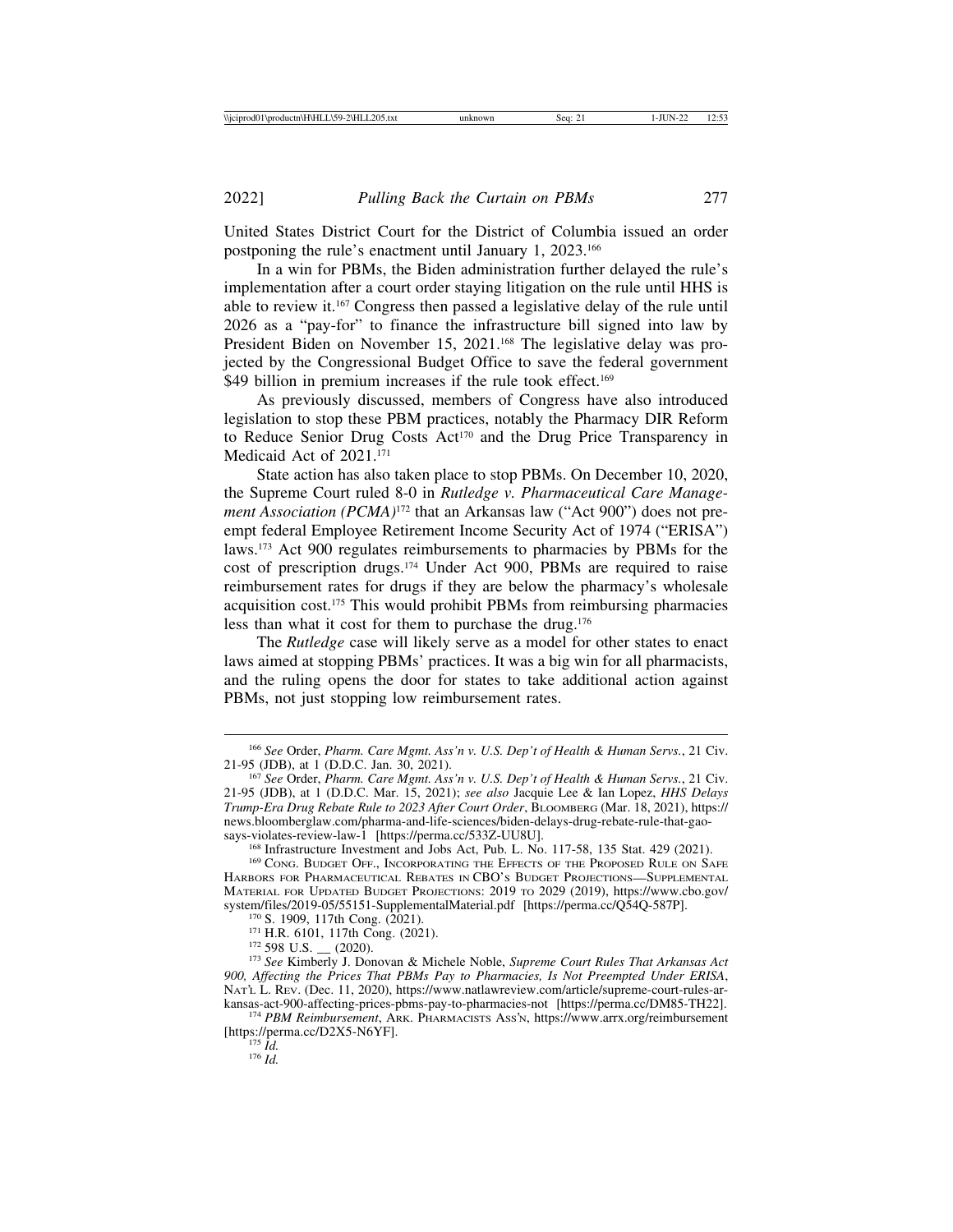United States District Court for the District of Columbia issued an order postponing the rule's enactment until January 1, 2023.166

In a win for PBMs, the Biden administration further delayed the rule's implementation after a court order staying litigation on the rule until HHS is able to review it.167 Congress then passed a legislative delay of the rule until 2026 as a "pay-for" to finance the infrastructure bill signed into law by President Biden on November 15, 2021.<sup>168</sup> The legislative delay was projected by the Congressional Budget Office to save the federal government \$49 billion in premium increases if the rule took effect.<sup>169</sup>

As previously discussed, members of Congress have also introduced legislation to stop these PBM practices, notably the Pharmacy DIR Reform to Reduce Senior Drug Costs Act<sup>170</sup> and the Drug Price Transparency in Medicaid Act of 2021.<sup>171</sup>

State action has also taken place to stop PBMs. On December 10, 2020, the Supreme Court ruled 8-0 in *Rutledge v. Pharmaceutical Care Management Association (PCMA)*<sup>172</sup> that an Arkansas law ("Act 900") does not preempt federal Employee Retirement Income Security Act of 1974 ("ERISA") laws.173 Act 900 regulates reimbursements to pharmacies by PBMs for the cost of prescription drugs.174 Under Act 900, PBMs are required to raise reimbursement rates for drugs if they are below the pharmacy's wholesale acquisition cost.175 This would prohibit PBMs from reimbursing pharmacies less than what it cost for them to purchase the drug.176

The *Rutledge* case will likely serve as a model for other states to enact laws aimed at stopping PBMs' practices. It was a big win for all pharmacists, and the ruling opens the door for states to take additional action against PBMs, not just stopping low reimbursement rates.

<sup>166</sup> *See* Order, *Pharm. Care Mgmt. Ass'n v. U.S. Dep't of Health & Human Servs.*, 21 Civ.

<sup>&</sup>lt;sup>167</sup> See Order, *Pharm. Care Mgmt. Ass'n v. U.S. Dep't of Health & Human Servs.*, 21 Civ. 21-95 (JDB), at 1 (D.D.C. Mar. 15, 2021); *see also* Jacquie Lee & Ian Lopez, *HHS Delays Trump-Era Drug Rebate Rule to 2023 After Court Order*, BLOOMBERG (Mar. 18, 2021), https:// news.bloomberglaw.com/pharma-and-life-sciences/biden-delays-drug-rebate-rule-that-gao-<br>says-violates-review-law-1 [https://perma.cc/533Z-UU8U].

<sup>&</sup>lt;sup>168</sup> Infrastructure Investment and Jobs Act, Pub. L. No. 117-58, 135 Stat. 429 (2021). <sup>169</sup> Cong. Budget Off., Incorporating the Effects of the Proposed Rule on Safe

HARBORS FOR PHARMACEUTICAL REBATES IN CBO'S BUDGET PROJECTIONS—SUPPLEMENTAL MATERIAL FOR UPDATED BUDGET PROJECTIONS: 2019 TO 2029 (2019), https://www.cbo.gov/<br>system/files/2019-05/55151-SupplementalMaterial.pdf [https://perma.cc/Q54Q-587P].

<sup>&</sup>lt;sup>170</sup> S. 1909, 117th Cong. (2021).<br><sup>171</sup> H.R. 6101, 117th Cong. (2021).<br><sup>172</sup> 598 U.S. <sub>—</sub> (2020).<br><sup>173</sup> See Kimberly J. Donovan & Michele Noble, Supreme Court Rules That Arkansas Act *900, Affecting the Prices That PBMs Pay to Pharmacies, Is Not Preempted Under ERISA*, NAT'L L. REV. (Dec. 11, 2020), https://www.natlawreview.com/article/supreme-court-rules-ar-<br>kansas-act-900-affecting-prices-pbms-pay-to-pharmacies-not [https://perma.cc/DM85-TH22].

<sup>&</sup>lt;sup>174</sup> PBM Reimbursement, ARK. PHARMACISTS ASS'N, https://www.arrx.org/reimbursement [https://perma.cc/D2X5-N6YF]. <sup>175</sup> *Id.* <sup>176</sup> *Id.*